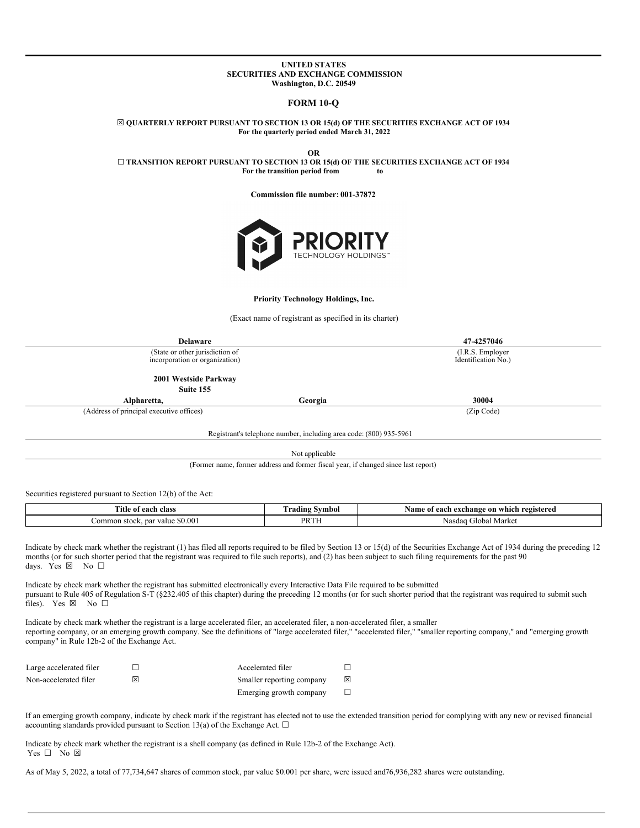### **UNITED STATES SECURITIES AND EXCHANGE COMMISSION Washington, D.C. 20549**

# **FORM 10-Q**

☒ **QUARTERLY REPORT PURSUANT TO SECTION 13 OR 15(d) OF THE SECURITIES EXCHANGE ACT OF 1934 For the quarterly period ended March 31, 2022**

**OR** ☐ **TRANSITION REPORT PURSUANT TO SECTION 13 OR 15(d) OF THE SECURITIES EXCHANGE ACT OF 1934 For the transition period from to**

**Commission file number: 001-37872**



#### **Priority Technology Holdings, Inc.**

(Exact name of registrant as specified in its charter)

| Delaware                                                          |                                          | 47-4257046 |  |
|-------------------------------------------------------------------|------------------------------------------|------------|--|
| (State or other jurisdiction of<br>incorporation or organization) | (I.R.S. Employer)<br>Identification No.) |            |  |
| 2001 Westside Parkway                                             |                                          |            |  |
| Suite 155                                                         |                                          |            |  |
| Alpharetta,                                                       | Georgia                                  | 30004      |  |
| (Address of principal executive offices)                          |                                          | (Zip Code) |  |

Registrant's telephone number, including area code: (800) 935-5961

Not applicable

(Former name, former address and former fiscal year, if changed since last report)

Securities registered pursuant to Section 12(b) of the Act:

| Title of<br>each class '                              | Symbol<br>radıng  | registered<br>Namo<br>which .<br>a exchange<br>: on<br>naet<br>еасп |
|-------------------------------------------------------|-------------------|---------------------------------------------------------------------|
| $\cdot$ \$0.00.<br>par y<br>ommon ·<br>alue<br>stock. | <b>DD</b> TI<br>. | Market<br>Global<br>Nasdad                                          |

Indicate by check mark whether the registrant (1) has filed all reports required to be filed by Section 13 or 15(d) of the Securities Exchange Act of 1934 during the preceding 12 months (or for such shorter period that the registrant was required to file such reports), and (2) has been subject to such filing requirements for the past 90 days. Yes  $\boxtimes$  No  $\square$ 

Indicate by check mark whether the registrant has submitted electronically every Interactive Data File required to be submitted pursuant to Rule 405 of Regulation S-T (§232.405 of this chapter) during the preceding 12 months (or for such shorter period that the registrant was required to submit such files). Yes  $\boxtimes$  No  $\square$ 

Indicate by check mark whether the registrant is a large accelerated filer, an accelerated filer, a non-accelerated filer, a smaller reporting company, or an emerging growth company. See the definitions of "large accelerated filer," "accelerated filer," "smaller reporting company," and "emerging growth company" in Rule 12b-2 of the Exchange Act.

| Large accelerated filer |   | Accelerated filer         |   |
|-------------------------|---|---------------------------|---|
| Non-accelerated filer   | ⋈ | Smaller reporting company | ⊠ |
|                         |   | Emerging growth company   |   |

If an emerging growth company, indicate by check mark if the registrant has elected not to use the extended transition period for complying with any new or revised financial accounting standards provided pursuant to Section 13(a) of the Exchange Act.  $\Box$ 

Indicate by check mark whether the registrant is a shell company (as defined in Rule 12b-2 of the Exchange Act).  $Yes \Box No \boxtimes$ 

<span id="page-0-0"></span>As of May 5, 2022, a total of 77,734,647 shares of common stock, par value \$0.001 per share, were issued and76,936,282 shares were outstanding.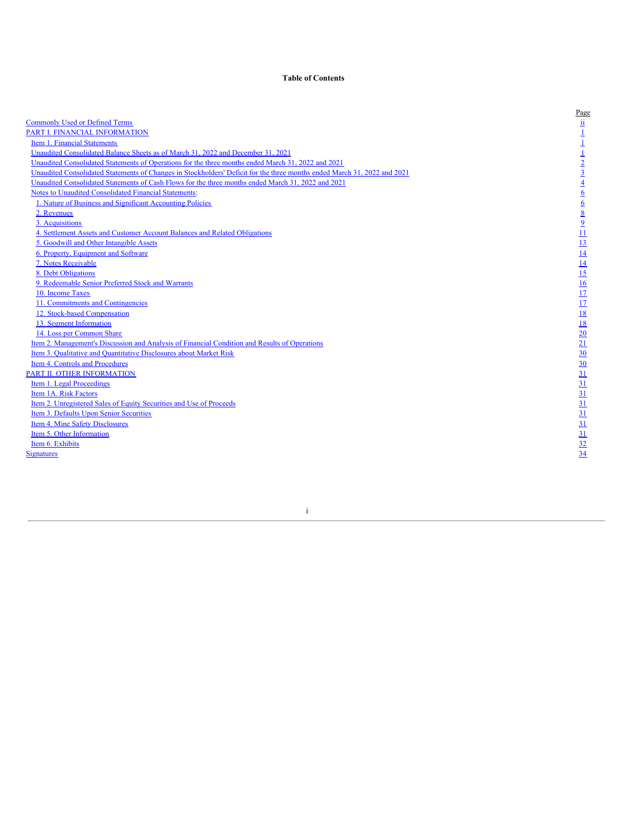# **Table of Contents**

|                                                                                                                                                                                                                                | Page                                                                                                                                                                                         |
|--------------------------------------------------------------------------------------------------------------------------------------------------------------------------------------------------------------------------------|----------------------------------------------------------------------------------------------------------------------------------------------------------------------------------------------|
| <b>Commonly Used or Defined Terms</b>                                                                                                                                                                                          | $\frac{11}{11}$ $\frac{1}{11}$ $\frac{1}{2}$ $\frac{1}{3}$ $\frac{1}{4}$ $\frac{1}{6}$ $\frac{1}{6}$ $\frac{1}{8}$ $\frac{1}{2}$ $\frac{1}{11}$ $\frac{1}{11}$ $\frac{1}{11}$ $\frac{1}{11}$ |
| PART I. FINANCIAL INFORMATION                                                                                                                                                                                                  |                                                                                                                                                                                              |
| Item 1. Financial Statements                                                                                                                                                                                                   |                                                                                                                                                                                              |
| Unaudited Consolidated Balance Sheets as of March 31, 2022 and December 31, 2021                                                                                                                                               |                                                                                                                                                                                              |
| Unaudited Consolidated Statements of Operations for the three months ended March 31, 2022 and 2021<br>Unaudited Consolidated Statements of Changes in Stockholders' Deficit for the three months ended March 31, 2022 and 2021 |                                                                                                                                                                                              |
|                                                                                                                                                                                                                                |                                                                                                                                                                                              |
| Unaudited Consolidated Statements of Cash Flows for the three months ended March 31, 2022 and 2021<br>Notes to Unaudited Consolidated Financial Statements:                                                                    |                                                                                                                                                                                              |
|                                                                                                                                                                                                                                |                                                                                                                                                                                              |
| 1. Nature of Business and Significant Accounting Policies                                                                                                                                                                      |                                                                                                                                                                                              |
| 2. Revenues                                                                                                                                                                                                                    |                                                                                                                                                                                              |
| 3. Acquisitions                                                                                                                                                                                                                |                                                                                                                                                                                              |
| 4. Settlement Assets and Customer Account Balances and Related Obligations                                                                                                                                                     |                                                                                                                                                                                              |
| 5. Goodwill and Other Intangible Assets                                                                                                                                                                                        |                                                                                                                                                                                              |
| 6. Property, Equipment and Software                                                                                                                                                                                            |                                                                                                                                                                                              |
| 7. Notes Receivable                                                                                                                                                                                                            |                                                                                                                                                                                              |
| 8. Debt Obligations                                                                                                                                                                                                            |                                                                                                                                                                                              |
| 9. Redeemable Senior Preferred Stock and Warrants                                                                                                                                                                              |                                                                                                                                                                                              |
| 10. Income Taxes                                                                                                                                                                                                               |                                                                                                                                                                                              |
| 11. Commitments and Contingencies                                                                                                                                                                                              |                                                                                                                                                                                              |
| 12. Stock-based Compensation                                                                                                                                                                                                   | 18                                                                                                                                                                                           |
| 13. Segment Information                                                                                                                                                                                                        | 18                                                                                                                                                                                           |
| 14. Loss per Common Share                                                                                                                                                                                                      |                                                                                                                                                                                              |
| Item 2. Management's Discussion and Analysis of Financial Condition and Results of Operations                                                                                                                                  | $\frac{20}{21} \frac{1}{30} \frac{30}{31} \frac{31}{31} \frac{31}{31} \frac{31}{31} \frac{31}{31} \frac{31}{31} \frac{31}{32} \frac{32}{34}$                                                 |
| Item 3. Qualitative and Quantitative Disclosures about Market Risk                                                                                                                                                             |                                                                                                                                                                                              |
| Item 4. Controls and Procedures                                                                                                                                                                                                |                                                                                                                                                                                              |
| PART II. OTHER INFORMATION                                                                                                                                                                                                     |                                                                                                                                                                                              |
| Item 1. Legal Proceedings                                                                                                                                                                                                      |                                                                                                                                                                                              |
| Item 1A. Risk Factors                                                                                                                                                                                                          |                                                                                                                                                                                              |
| Item 2. Unregistered Sales of Equity Securities and Use of Proceeds                                                                                                                                                            |                                                                                                                                                                                              |
| Item 3. Defaults Upon Senior Securities                                                                                                                                                                                        |                                                                                                                                                                                              |
| Item 4. Mine Safety Disclosures                                                                                                                                                                                                |                                                                                                                                                                                              |
| Item 5. Other Information                                                                                                                                                                                                      |                                                                                                                                                                                              |
| Item 6. Exhibits                                                                                                                                                                                                               |                                                                                                                                                                                              |
| <b>Signatures</b>                                                                                                                                                                                                              |                                                                                                                                                                                              |
|                                                                                                                                                                                                                                |                                                                                                                                                                                              |
|                                                                                                                                                                                                                                |                                                                                                                                                                                              |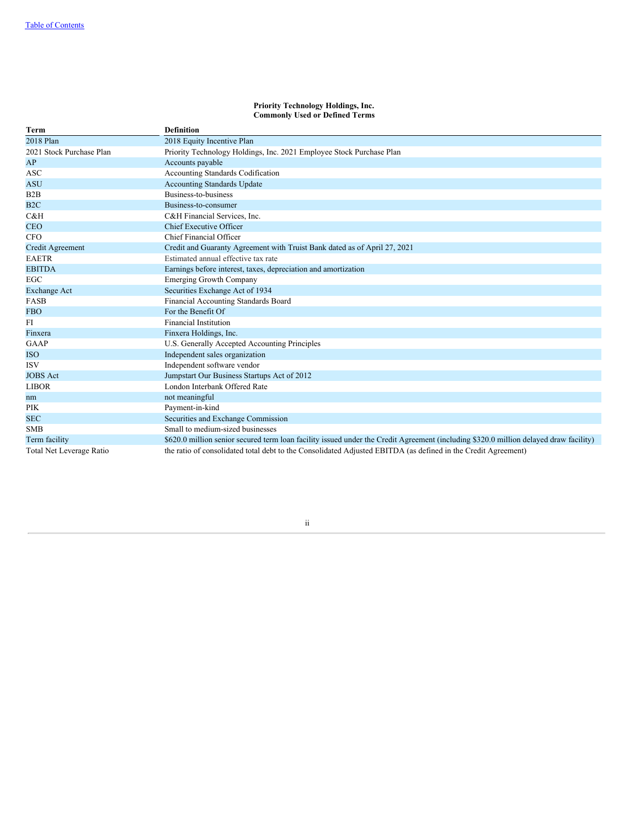#### **Priority Technology Holdings, Inc. Commonly Used or Defined Terms**

<span id="page-2-0"></span>

| Term                     | <b>Definition</b>                                                                                                                     |
|--------------------------|---------------------------------------------------------------------------------------------------------------------------------------|
| 2018 Plan                | 2018 Equity Incentive Plan                                                                                                            |
| 2021 Stock Purchase Plan | Priority Technology Holdings, Inc. 2021 Employee Stock Purchase Plan                                                                  |
| AP                       | Accounts payable                                                                                                                      |
| <b>ASC</b>               | Accounting Standards Codification                                                                                                     |
| <b>ASU</b>               | <b>Accounting Standards Update</b>                                                                                                    |
| B2B                      | Business-to-business                                                                                                                  |
| B <sub>2C</sub>          | Business-to-consumer                                                                                                                  |
| C&H                      | C&H Financial Services, Inc.                                                                                                          |
| <b>CEO</b>               | <b>Chief Executive Officer</b>                                                                                                        |
| <b>CFO</b>               | Chief Financial Officer                                                                                                               |
| <b>Credit Agreement</b>  | Credit and Guaranty Agreement with Truist Bank dated as of April 27, 2021                                                             |
| <b>EAETR</b>             | Estimated annual effective tax rate                                                                                                   |
| <b>EBITDA</b>            | Earnings before interest, taxes, depreciation and amortization                                                                        |
| EGC                      | <b>Emerging Growth Company</b>                                                                                                        |
| <b>Exchange Act</b>      | Securities Exchange Act of 1934                                                                                                       |
| <b>FASB</b>              | Financial Accounting Standards Board                                                                                                  |
| <b>FBO</b>               | For the Benefit Of                                                                                                                    |
| FI                       | <b>Financial Institution</b>                                                                                                          |
| Finxera                  | Finxera Holdings, Inc.                                                                                                                |
| GAAP                     | U.S. Generally Accepted Accounting Principles                                                                                         |
| <b>ISO</b>               | Independent sales organization                                                                                                        |
| <b>ISV</b>               | Independent software vendor                                                                                                           |
| <b>JOBS</b> Act          | Jumpstart Our Business Startups Act of 2012                                                                                           |
| <b>LIBOR</b>             | London Interbank Offered Rate                                                                                                         |
| nm                       | not meaningful                                                                                                                        |
| <b>PIK</b>               | Payment-in-kind                                                                                                                       |
| <b>SEC</b>               | Securities and Exchange Commission                                                                                                    |
| <b>SMB</b>               | Small to medium-sized businesses                                                                                                      |
| Term facility            | \$620.0 million senior secured term loan facility issued under the Credit Agreement (including \$320.0 million delayed draw facility) |
| Total Net Leverage Ratio | the ratio of consolidated total debt to the Consolidated Adjusted EBITDA (as defined in the Credit Agreement)                         |

# ii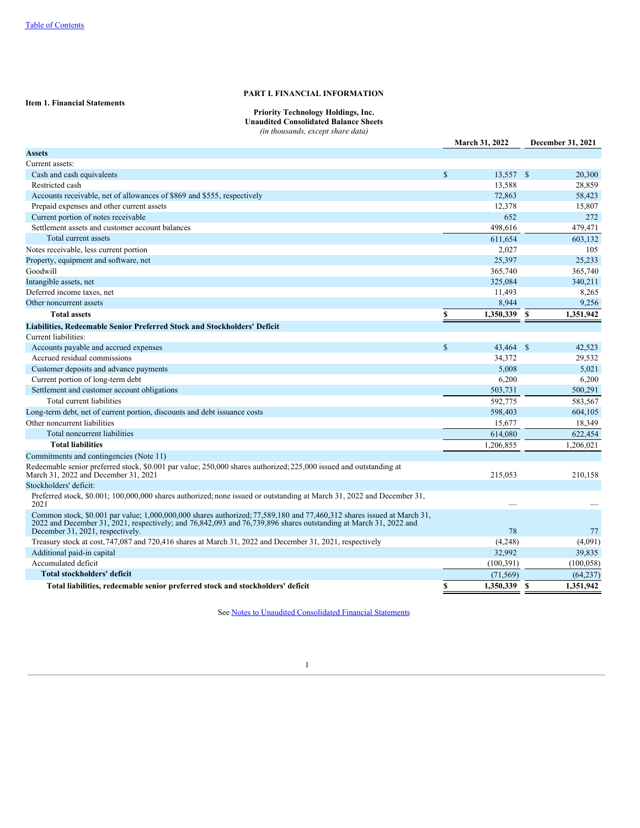# **PART I. FINANCIAL INFORMATION**

# <span id="page-3-2"></span><span id="page-3-1"></span><span id="page-3-0"></span>**Item 1. Financial Statements**

**Priority Technology Holdings, Inc. Unaudited Consolidated Balance Sheets**

*(in thousands, except share data)*

|                                                                                                                                                                                                                                                                                |              | March 31, 2022 | December 31, 2021 |
|--------------------------------------------------------------------------------------------------------------------------------------------------------------------------------------------------------------------------------------------------------------------------------|--------------|----------------|-------------------|
| <b>Assets</b>                                                                                                                                                                                                                                                                  |              |                |                   |
| Current assets:                                                                                                                                                                                                                                                                |              |                |                   |
| Cash and cash equivalents                                                                                                                                                                                                                                                      | $\mathbb{S}$ | 13,557 \$      | 20,300            |
| Restricted cash                                                                                                                                                                                                                                                                |              | 13,588         | 28,859            |
| Accounts receivable, net of allowances of \$869 and \$555, respectively                                                                                                                                                                                                        |              | 72,863         | 58,423            |
| Prepaid expenses and other current assets                                                                                                                                                                                                                                      |              | 12,378         | 15,807            |
| Current portion of notes receivable                                                                                                                                                                                                                                            |              | 652            | 272               |
| Settlement assets and customer account balances                                                                                                                                                                                                                                |              | 498,616        | 479,471           |
| Total current assets                                                                                                                                                                                                                                                           |              | 611,654        | 603,132           |
| Notes receivable, less current portion                                                                                                                                                                                                                                         |              | 2,027          | 105               |
| Property, equipment and software, net                                                                                                                                                                                                                                          |              | 25,397         | 25,233            |
| Goodwill                                                                                                                                                                                                                                                                       |              | 365,740        | 365,740           |
| Intangible assets, net                                                                                                                                                                                                                                                         |              | 325,084        | 340,211           |
| Deferred income taxes, net                                                                                                                                                                                                                                                     |              | 11,493         | 8,265             |
| Other noncurrent assets                                                                                                                                                                                                                                                        |              | 8,944          | 9,256             |
| <b>Total assets</b>                                                                                                                                                                                                                                                            | \$           | 1,350,339 \$   | 1,351,942         |
| Liabilities, Redeemable Senior Preferred Stock and Stockholders' Deficit                                                                                                                                                                                                       |              |                |                   |
| Current liabilities:                                                                                                                                                                                                                                                           |              |                |                   |
| Accounts payable and accrued expenses                                                                                                                                                                                                                                          | $\mathbb{S}$ | 43,464 \$      | 42,523            |
| Accrued residual commissions                                                                                                                                                                                                                                                   |              | 34,372         | 29,532            |
| Customer deposits and advance payments                                                                                                                                                                                                                                         |              | 5,008          | 5,021             |
| Current portion of long-term debt                                                                                                                                                                                                                                              |              | 6,200          | 6,200             |
| Settlement and customer account obligations                                                                                                                                                                                                                                    |              | 503,731        | 500,291           |
| Total current liabilities                                                                                                                                                                                                                                                      |              | 592,775        | 583,567           |
| Long-term debt, net of current portion, discounts and debt issuance costs                                                                                                                                                                                                      |              | 598,403        | 604,105           |
| Other noncurrent liabilities                                                                                                                                                                                                                                                   |              | 15,677         | 18,349            |
| Total noncurrent liabilities                                                                                                                                                                                                                                                   |              | 614,080        | 622,454           |
| <b>Total liabilities</b>                                                                                                                                                                                                                                                       |              | 1,206,855      | 1,206,021         |
| Commitments and contingencies (Note 11)                                                                                                                                                                                                                                        |              |                |                   |
| Redeemable senior preferred stock, \$0.001 par value; 250,000 shares authorized; 225,000 issued and outstanding at<br>March 31, 2022 and December 31, 2021                                                                                                                     |              | 215,053        | 210,158           |
| Stockholders' deficit:                                                                                                                                                                                                                                                         |              |                |                   |
| Preferred stock, \$0.001; 100,000,000 shares authorized; none issued or outstanding at March 31, 2022 and December 31,<br>2021                                                                                                                                                 |              |                |                   |
| Common stock, \$0.001 par value; 1,000,000,000 shares authorized; 77,589,180 and 77,460,312 shares issued at March 31,<br>2022 and December 31, 2021, respectively; and 76,842,093 and 76,739,896 shares outstanding at March 31, 2022 and<br>December 31, 2021, respectively. |              | 78             | 77                |
| Treasury stock at cost, 747,087 and 720,416 shares at March 31, 2022 and December 31, 2021, respectively                                                                                                                                                                       |              | (4,248)        | (4,091)           |
| Additional paid-in capital                                                                                                                                                                                                                                                     |              | 32,992         | 39,835            |
| Accumulated deficit                                                                                                                                                                                                                                                            |              | (100, 391)     | (100, 058)        |
| Total stockholders' deficit                                                                                                                                                                                                                                                    |              | (71, 569)      | (64, 237)         |
| Total liabilities, redeemable senior preferred stock and stockholders' deficit                                                                                                                                                                                                 | \$           | 1,350,339 \$   | 1,351,942         |

See Notes to Unaudited [Consolidated](#page-8-0) Financial Statements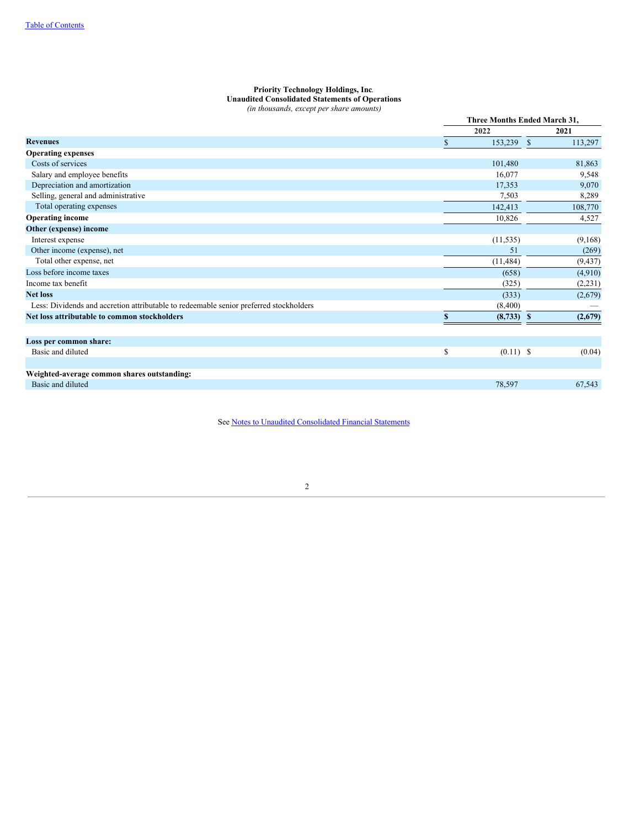# **Priority Technology Holdings, Inc**. **Unaudited Consolidated Statements of Operations**

*(in thousands, except per share amounts)*

<span id="page-4-0"></span>

|                                                                                        |     | Three Months Ended March 31. |    |          |
|----------------------------------------------------------------------------------------|-----|------------------------------|----|----------|
|                                                                                        |     | 2022                         |    | 2021     |
| <b>Revenues</b>                                                                        | \$. | 153,239                      | -S | 113,297  |
| <b>Operating expenses</b>                                                              |     |                              |    |          |
| Costs of services                                                                      |     | 101,480                      |    | 81,863   |
| Salary and employee benefits                                                           |     | 16.077                       |    | 9,548    |
| Depreciation and amortization                                                          |     | 17,353                       |    | 9,070    |
| Selling, general and administrative                                                    |     | 7,503                        |    | 8,289    |
| Total operating expenses                                                               |     | 142,413                      |    | 108,770  |
| <b>Operating income</b>                                                                |     | 10,826                       |    | 4,527    |
| Other (expense) income                                                                 |     |                              |    |          |
| Interest expense                                                                       |     | (11, 535)                    |    | (9,168)  |
| Other income (expense), net                                                            |     | 51                           |    | (269)    |
| Total other expense, net                                                               |     | (11, 484)                    |    | (9, 437) |
| Loss before income taxes                                                               |     | (658)                        |    | (4,910)  |
| Income tax benefit                                                                     |     | (325)                        |    | (2,231)  |
| <b>Net loss</b>                                                                        |     | (333)                        |    | (2,679)  |
| Less: Dividends and accretion attributable to redeemable senior preferred stockholders |     | (8,400)                      |    |          |
| Net loss attributable to common stockholders                                           | \$. | $(8,733)$ \$                 |    | (2,679)  |
|                                                                                        |     |                              |    |          |
| Loss per common share:                                                                 |     |                              |    |          |
| Basic and diluted                                                                      | \$  | $(0.11)$ \$                  |    | (0.04)   |
|                                                                                        |     |                              |    |          |
| Weighted-average common shares outstanding:                                            |     |                              |    |          |
| Basic and diluted                                                                      |     | 78,597                       |    | 67,543   |

See Notes to Unaudited [Consolidated](#page-8-0) Financial Statements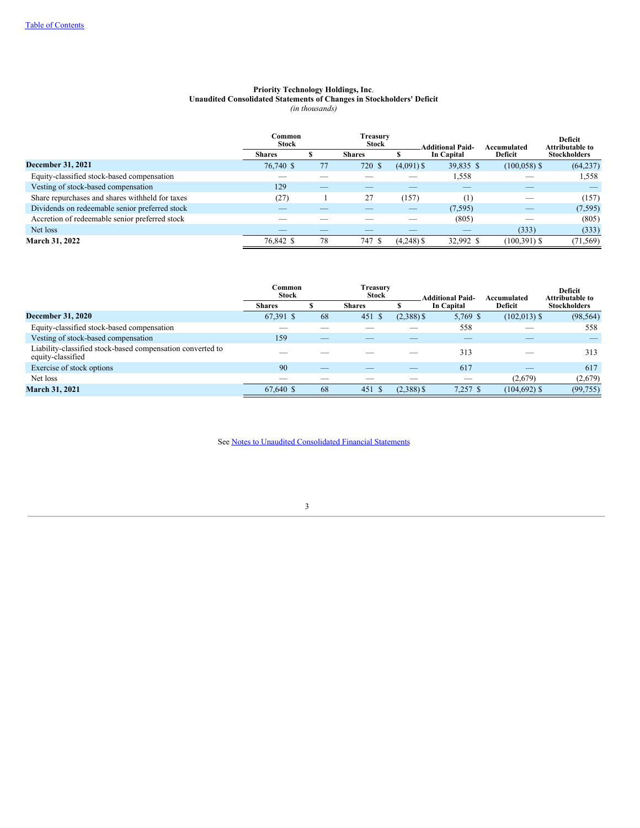# **Priority Technology Holdings, Inc**. **Unaudited Consolidated Statements of Changes in Stockholders' Deficit**

*(in thousands)*

<span id="page-5-0"></span>

|                                                 | <b>Stock</b>  | Treasurv<br>Common<br><b>Stock</b> |               |              | <b>Additional Paid-</b> | Accumulated     | Deficit<br><b>Attributable to</b> |  |
|-------------------------------------------------|---------------|------------------------------------|---------------|--------------|-------------------------|-----------------|-----------------------------------|--|
|                                                 | <b>Shares</b> |                                    | <b>Shares</b> |              | In Capital              | <b>Deficit</b>  | <b>Stockholders</b>               |  |
| December 31, 2021                               | 76,740 \$     | 77                                 | 720<br>-S     | $(4,091)$ \$ | 39,835 \$               | $(100, 058)$ \$ | (64, 237)                         |  |
| Equity-classified stock-based compensation      |               |                                    |               |              | 1,558                   |                 | 1,558                             |  |
| Vesting of stock-based compensation             | 129           |                                    |               |              |                         |                 |                                   |  |
| Share repurchases and shares withheld for taxes | (27)          |                                    | 27            | (157)        | $\left(1\right)$        |                 | (157)                             |  |
| Dividends on redeemable senior preferred stock  |               |                                    |               |              | (7, 595)                |                 | (7, 595)                          |  |
| Accretion of redeemable senior preferred stock  |               |                                    |               |              | (805)                   |                 | (805)                             |  |
| Net loss                                        |               |                                    |               |              |                         | (333)           | (333)                             |  |
| <b>March 31, 2022</b>                           | 76,842 \$     | 78                                 | 747           | $(4,248)$ \$ | 32,992 \$               | $(100, 391)$ \$ | (71, 569)                         |  |

|                                                                                 | Treasurv<br>Common<br><b>Stock</b><br><b>Stock</b> |    |               | <b>Additional Paid-</b> | Accumulated | Deficit<br><b>Attributable to</b> |                     |  |
|---------------------------------------------------------------------------------|----------------------------------------------------|----|---------------|-------------------------|-------------|-----------------------------------|---------------------|--|
|                                                                                 | <b>Shares</b>                                      |    | <b>Shares</b> |                         | In Capital  | Deficit                           | <b>Stockholders</b> |  |
| <b>December 31, 2020</b>                                                        | 67,391 \$                                          | 68 | 451<br>-S     | $(2,388)$ \$            | 5,769 \$    | $(102, 013)$ \$                   | (98, 564)           |  |
| Equity-classified stock-based compensation                                      |                                                    |    |               |                         | 558         |                                   | 558                 |  |
| Vesting of stock-based compensation                                             | 159                                                |    |               |                         |             |                                   |                     |  |
| Liability-classified stock-based compensation converted to<br>equity-classified |                                                    |    |               |                         | 313         |                                   | 313                 |  |
| Exercise of stock options                                                       | 90                                                 |    |               |                         | 617         | _                                 | 617                 |  |
| Net loss                                                                        |                                                    |    |               |                         |             | (2,679)                           | (2,679)             |  |
| <b>March 31, 2021</b>                                                           | 67,640 \$                                          | 68 | 451           | $(2,388)$ \$            | $7,257$ \$  | $(104, 692)$ \$                   | (99, 755)           |  |

See Notes to Unaudited [Consolidated](#page-8-0) Financial Statements

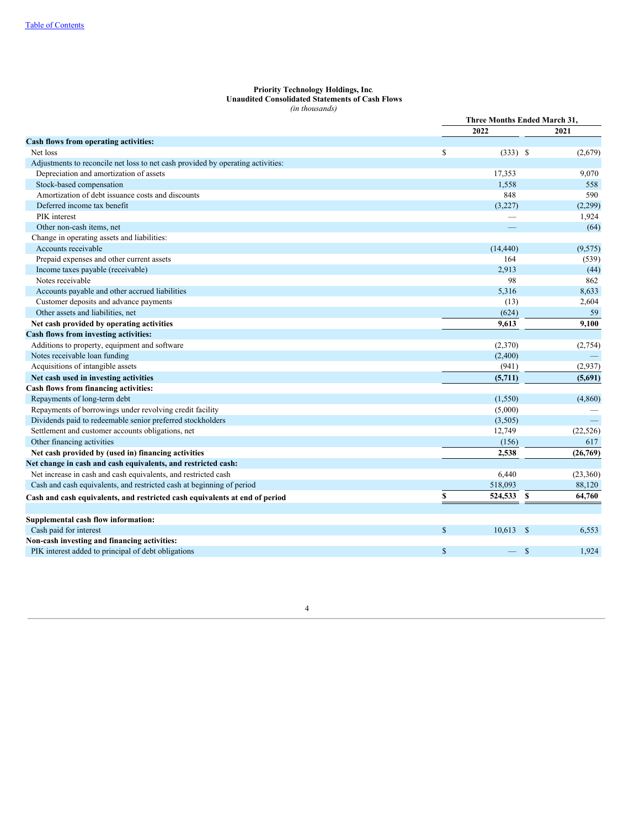#### **Priority Technology Holdings, Inc**. **Unaudited Consolidated Statements of Cash Flows** *(in thousands)*

<span id="page-6-0"></span>

|                                                                                 | Three Months Ended March 31, |            |              |           |
|---------------------------------------------------------------------------------|------------------------------|------------|--------------|-----------|
|                                                                                 |                              | 2022       |              | 2021      |
| Cash flows from operating activities:                                           |                              |            |              |           |
| Net loss                                                                        | \$                           | $(333)$ \$ |              | (2,679)   |
| Adjustments to reconcile net loss to net cash provided by operating activities: |                              |            |              |           |
| Depreciation and amortization of assets                                         |                              | 17,353     |              | 9,070     |
| Stock-based compensation                                                        |                              | 1.558      |              | 558       |
| Amortization of debt issuance costs and discounts                               |                              | 848        |              | 590       |
| Deferred income tax benefit                                                     |                              | (3,227)    |              | (2,299)   |
| PIK interest                                                                    |                              |            |              | 1,924     |
| Other non-cash items, net                                                       |                              |            |              | (64)      |
| Change in operating assets and liabilities:                                     |                              |            |              |           |
| Accounts receivable                                                             |                              | (14, 440)  |              | (9, 575)  |
| Prepaid expenses and other current assets                                       |                              | 164        |              | (539)     |
| Income taxes payable (receivable)                                               |                              | 2,913      |              | (44)      |
| Notes receivable                                                                |                              | 98         |              | 862       |
| Accounts payable and other accrued liabilities                                  |                              | 5,316      |              | 8,633     |
| Customer deposits and advance payments                                          |                              | (13)       |              | 2,604     |
| Other assets and liabilities, net                                               |                              | (624)      |              | 59        |
| Net cash provided by operating activities                                       |                              | 9,613      |              | 9,100     |
| Cash flows from investing activities:                                           |                              |            |              |           |
| Additions to property, equipment and software                                   |                              | (2,370)    |              | (2,754)   |
| Notes receivable loan funding                                                   |                              | (2,400)    |              |           |
| Acquisitions of intangible assets                                               |                              | (941)      |              | (2,937)   |
| Net cash used in investing activities                                           |                              | (5,711)    |              | (5,691)   |
| Cash flows from financing activities:                                           |                              |            |              |           |
| Repayments of long-term debt                                                    |                              | (1,550)    |              | (4,860)   |
| Repayments of borrowings under revolving credit facility                        |                              | (5,000)    |              |           |
| Dividends paid to redeemable senior preferred stockholders                      |                              | (3,505)    |              |           |
| Settlement and customer accounts obligations, net                               |                              | 12,749     |              | (22, 526) |
| Other financing activities                                                      |                              | (156)      |              | 617       |
| Net cash provided by (used in) financing activities                             |                              | 2,538      |              | (26,769)  |
| Net change in cash and cash equivalents, and restricted cash:                   |                              |            |              |           |
| Net increase in cash and cash equivalents, and restricted cash                  |                              | 6,440      |              | (23,360)  |
| Cash and cash equivalents, and restricted cash at beginning of period           |                              | 518,093    |              | 88,120    |
| Cash and cash equivalents, and restricted cash equivalents at end of period     | \$                           | 524,533    | \$           | 64,760    |
|                                                                                 |                              |            |              |           |
| Supplemental cash flow information:                                             |                              |            |              |           |
| Cash paid for interest                                                          | $\mathbb{S}$                 | 10,613     | $\mathbb{S}$ | 6,553     |
| Non-cash investing and financing activities:                                    |                              |            |              |           |
| PIK interest added to principal of debt obligations                             | $\$$                         |            | $\mathbb{S}$ | 1,924     |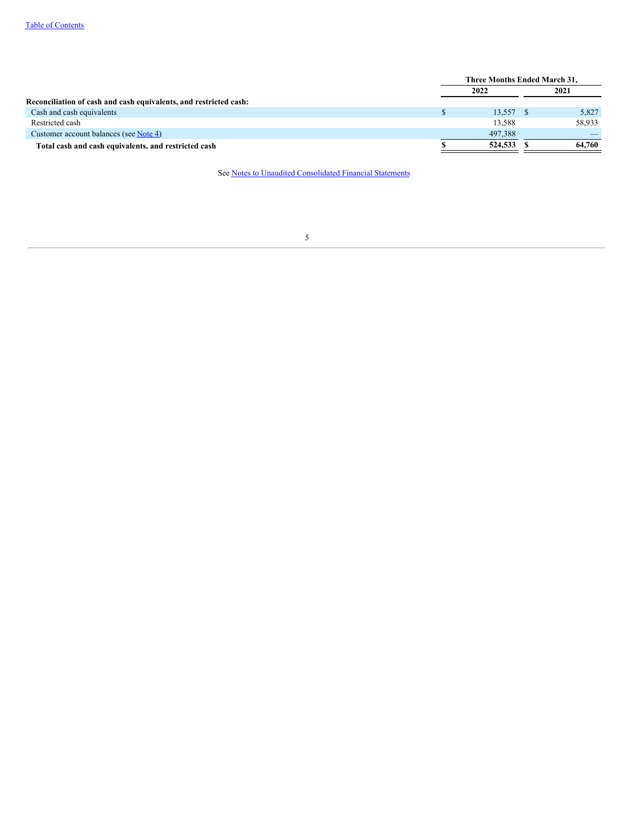|                                                                   | Three Months Ended March 31, |           |      |        |
|-------------------------------------------------------------------|------------------------------|-----------|------|--------|
|                                                                   | 2022                         |           | 2021 |        |
| Reconciliation of cash and cash equivalents, and restricted cash: |                              |           |      |        |
| Cash and cash equivalents                                         |                              | 13,557 \$ |      | 5,827  |
| Restricted cash                                                   |                              | 13.588    |      | 58.933 |
| Customer account balances (see Note 4)                            |                              | 497.388   |      |        |
| Total cash and cash equivalents, and restricted cash              |                              | 524,533   |      | 64.760 |

See Notes to Unaudited [Consolidated](#page-8-0) Financial Statements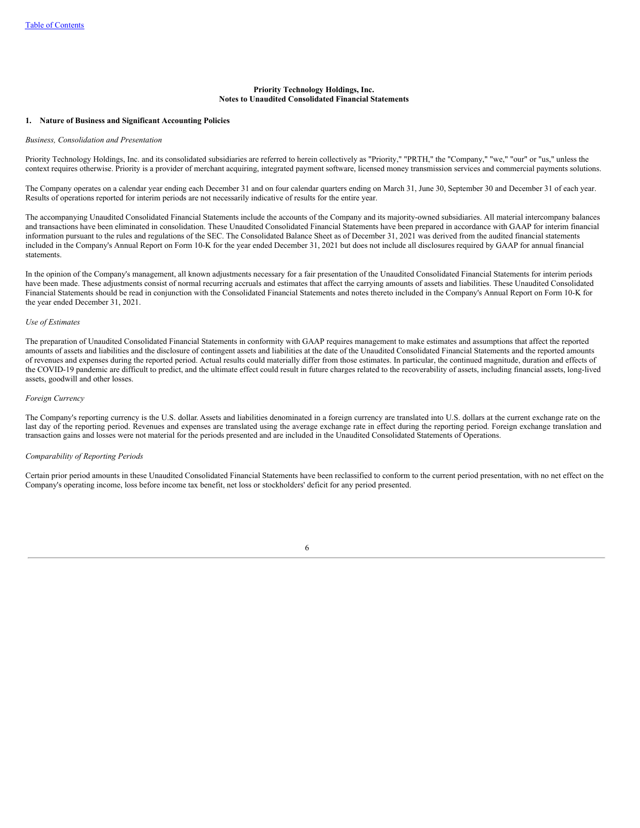### **Priority Technology Holdings, Inc. Notes to Unaudited Consolidated Financial Statements**

#### <span id="page-8-1"></span><span id="page-8-0"></span>**1. Nature of Business and Significant Accounting Policies**

#### *Business, Consolidation and Presentation*

Priority Technology Holdings, Inc. and its consolidated subsidiaries are referred to herein collectively as "Priority," "PRTH," the "Company," "we," "our" or "us," unless the context requires otherwise. Priority is a provider of merchant acquiring, integrated payment software, licensed money transmission services and commercial payments solutions.

The Company operates on a calendar year ending each December 31 and on four calendar quarters ending on March 31, June 30, September 30 and December 31 of each year. Results of operations reported for interim periods are not necessarily indicative of results for the entire year.

The accompanying Unaudited Consolidated Financial Statements include the accounts of the Company and its majority-owned subsidiaries. All material intercompany balances and transactions have been eliminated in consolidation. These Unaudited Consolidated Financial Statements have been prepared in accordance with GAAP for interim financial information pursuant to the rules and regulations of the SEC. The Consolidated Balance Sheet as of December 31,  $2021$  was derived from the audited financial statements included in the Company's Annual Report on Form 10-K for the year ended December 31, 2021 but does not include all disclosures required by GAAP for annual financial statements.

In the opinion of the Company's management, all known adjustments necessary for a fair presentation of the Unaudited Consolidated Financial Statements for interim periods have been made. These adjustments consist of normal recurring accruals and estimates that affect the carrying amounts of assets and liabilities. These Unaudited Consolidated Financial Statements should be read in conjunction with the Consolidated Financial Statements and notes thereto included in the Company's Annual Report on Form 10-K for the year ended December 31, 2021.

#### *Use of Estimates*

The preparation of Unaudited Consolidated Financial Statements in conformity with GAAP requires management to make estimates and assumptions that affect the reported amounts of assets and liabilities and the disclosure of contingent assets and liabilities at the date of the Unaudited Consolidated Financial Statements and the reported amounts of revenues and expenses during the reported period. Actual results could materially differ from those estimates. In particular, the continued magnitude, duration and effects of the COVID-19 pandemic are difficult to predict, and the ultimate effect could result in future charges related to the recoverability of assets, including financial assets, long-lived assets, goodwill and other losses.

#### *Foreign Currency*

The Company's reporting currency is the U.S. dollar. Assets and liabilities denominated in a foreign currency are translated into U.S. dollars at the current exchange rate on the last day of the reporting period. Revenues and expenses are translated using the average exchange rate in effect during the reporting period. Foreign exchange translation and transaction gains and losses were not material for the periods presented and are included in the Unaudited Consolidated Statements of Operations.

#### *Comparability of Reporting Periods*

Certain prior period amounts in these Unaudited Consolidated Financial Statements have been reclassified to conform to the current period presentation, with no net effect on the Company's operating income, loss before income tax benefit, net loss or stockholders' deficit for any period presented.

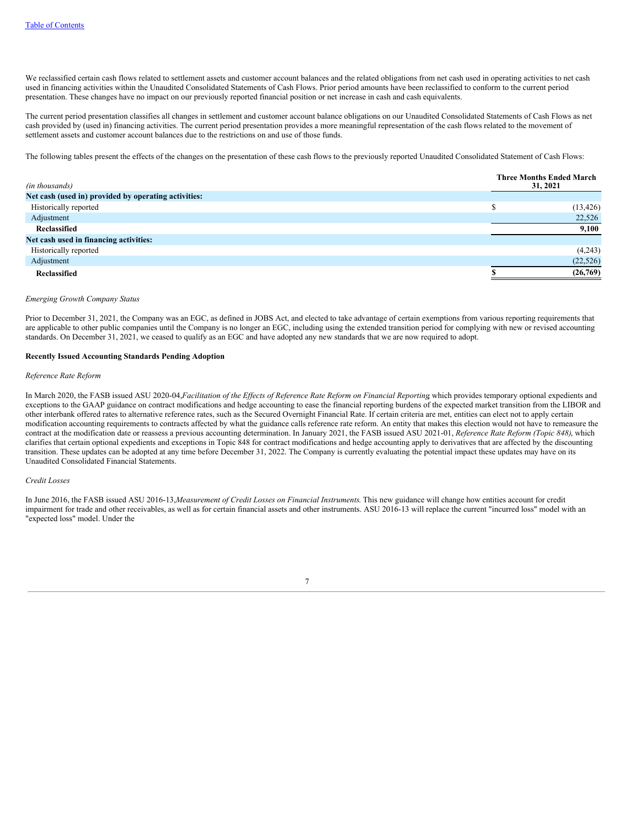We reclassified certain cash flows related to settlement assets and customer account balances and the related obligations from net cash used in operating activities to net cash used in financing activities within the Unaudited Consolidated Statements of Cash Flows. Prior period amounts have been reclassified to conform to the current period presentation. These changes have no impact on our previously reported financial position or net increase in cash and cash equivalents.

The current period presentation classifies all changes in settlement and customer account balance obligations on our Unaudited Consolidated Statements of Cash Flows as net cash provided by (used in) financing activities. The current period presentation provides a more meaningful representation of the cash flows related to the movement of settlement assets and customer account balances due to the restrictions on and use of those funds.

The following tables present the effects of the changes on the presentation of these cash flows to the previously reported Unaudited Consolidated Statement of Cash Flows:

| (in thousands)                                       | <b>Three Months Ended March</b><br>31, 2021 |
|------------------------------------------------------|---------------------------------------------|
| Net cash (used in) provided by operating activities: |                                             |
| Historically reported                                | (13, 426)                                   |
| Adjustment                                           | 22,526                                      |
| Reclassified                                         | 9,100                                       |
| Net cash used in financing activities:               |                                             |
| Historically reported                                | (4,243)                                     |
| Adjustment                                           | (22, 526)                                   |
| Reclassified                                         | (26,769)                                    |

### *Emerging Growth Company Status*

Prior to December 31, 2021, the Company was an EGC, as defined in JOBS Act, and elected to take advantage of certain exemptions from various reporting requirements that are applicable to other public companies until the Company is no longer an EGC, including using the extended transition period for complying with new or revised accounting standards. On December 31, 2021, we ceased to qualify as an EGC and have adopted any new standards that we are now required to adopt.

# **Recently Issued Accounting Standards Pending Adoption**

#### *Reference Rate Reform*

In March 2020, the FASB issued ASU 2020-04, Facilitation of the Effects of Reference Rate Reform on Financial Reporting which provides temporary optional expedients and exceptions to the GAAP guidance on contract modifications and hedge accounting to ease the financial reporting burdens of the expected market transition from the LIBOR and other interbank offered rates to alternative reference rates, such as the Secured Overnight Financial Rate. If certain criteria are met, entities can elect not to apply certain modification accounting requirements to contracts affected by what the guidance calls reference rate reform. An entity that makes this election would not have to remeasure the contract at the modification date or reassess a previous accounting determination. In January 2021, the FASB issued ASU 2021-01, *Reference Rate Reform (Topic 848)*, which clarifies that certain optional expedients and exceptions in Topic 848 for contract modifications and hedge accounting apply to derivatives that are affected by the discounting transition. These updates can be adopted at any time before December 31, 2022. The Company is currently evaluating the potential impact these updates may have on its Unaudited Consolidated Financial Statements.

#### *Credit Losses*

In June 2016, the FASB issued ASU 2016-13,*Measurement of Credit Losses on Financial Instruments*. This new guidance will change how entities account for credit impairment for trade and other receivables, as well as for certain financial assets and other instruments. ASU 2016-13 will replace the current "incurred loss" model with an "expected loss" model. Under the

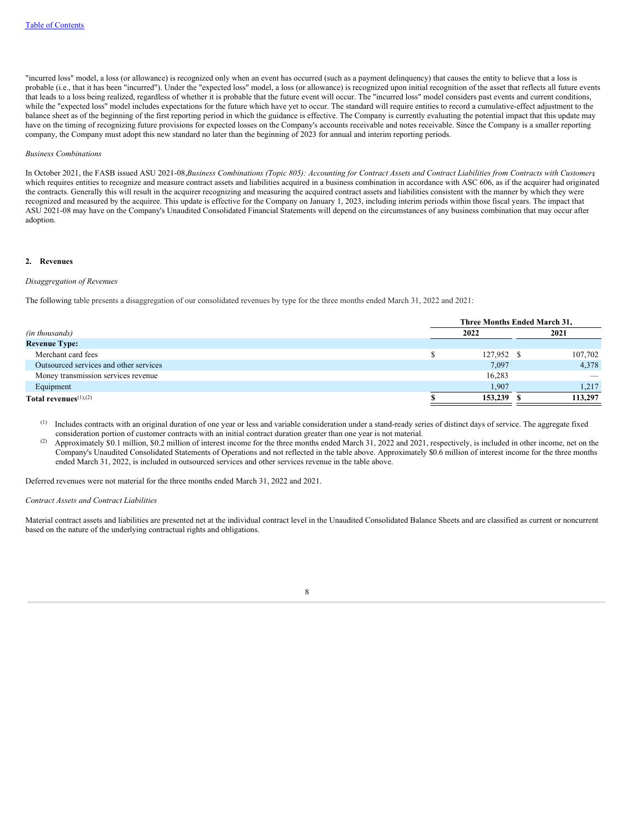"incurred loss" model, a loss (or allowance) is recognized only when an event has occurred (such as a payment delinquency) that causes the entity to believe that a loss is probable (i.e., that it has been "incurred"). Under the "expected loss" model, a loss (or allowance) is recognized upon initial recognition of the asset that reflects all future events that leads to a loss being realized, regardless of whether it is probable that the future event will occur. The "incurred loss" model considers past events and current conditions, while the "expected loss" model includes expectations for the future which have yet to occur. The standard will require entities to record a cumulative-effect adjustment to the balance sheet as of the beginning of the first reporting period in which the guidance is effective. The Company is currently evaluating the potential impact that this update may have on the timing of recognizing future provisions for expected losses on the Company's accounts receivable and notes receivable. Since the Company is a smaller reporting company, the Company must adopt this new standard no later than the beginning of 2023 for annual and interim reporting periods.

### *Business Combinations*

In October 2021, the FASB issued ASU 2021-08, Business Combinations (Topic 805): Accounting for Contract Assets and Contract Liabilities from Contracts with Customers which requires entities to recognize and measure contract assets and liabilities acquired in a business combination in accordance with ASC 606, as if the acquirer had originated the contracts. Generally this will result in the acquirer recognizing and measuring the acquired contract assets and liabilities consistent with the manner by which they were recognized and measured by the acquiree. This update is effective for the Company on January 1, 2023, including interim periods within those fiscal years. The impact that ASU 2021-08 may have on the Company's Unaudited Consolidated Financial Statements will depend on the circumstances of any business combination that may occur after adoption.

#### <span id="page-10-0"></span>**2. Revenues**

#### *Disaggregation of Revenues*

The following table presents a disaggregation of our consolidated revenues by type for the three months ended March 31, 2022 and 2021:

|                                        | Three Months Ended March 31, |            |  |         |  |  |  |  |
|----------------------------------------|------------------------------|------------|--|---------|--|--|--|--|
| (in thousands)                         |                              | 2022       |  | 2021    |  |  |  |  |
| <b>Revenue Type:</b>                   |                              |            |  |         |  |  |  |  |
| Merchant card fees                     |                              | 127,952 \$ |  | 107,702 |  |  |  |  |
| Outsourced services and other services |                              | 7,097      |  | 4,378   |  |  |  |  |
| Money transmission services revenue    |                              | 16,283     |  |         |  |  |  |  |
| Equipment                              |                              | 1,907      |  | 1,217   |  |  |  |  |
| Total revenues $(1),(2)$               |                              | 153,239    |  | 113,297 |  |  |  |  |

- $<sup>(1)</sup>$  Includes contracts with an original duration of one year or less and variable consideration under a stand-ready series of distinct days of service. The aggregate fixed</sup> consideration portion of customer contracts with an initial contract duration greater than one year is not material.
- Approximately \$0.1 million, \$0.2 million of interest income for the three months ended March 31, 2022 and 2021, respectively, is included in other income, net on the Company's Unaudited Consolidated Statements of Operations and not reflected in the table above. Approximately \$0.6 million of interest income for the three months ended March 31, 2022, is included in outsourced services and other services revenue in the table above. (2)

Deferred revenues were not material for the three months ended March 31, 2022 and 2021.

#### *Contract Assets and Contract Liabilities*

Material contract assets and liabilities are presented net at the individual contract level in the Unaudited Consolidated Balance Sheets and are classified as current or noncurrent based on the nature of the underlying contractual rights and obligations.

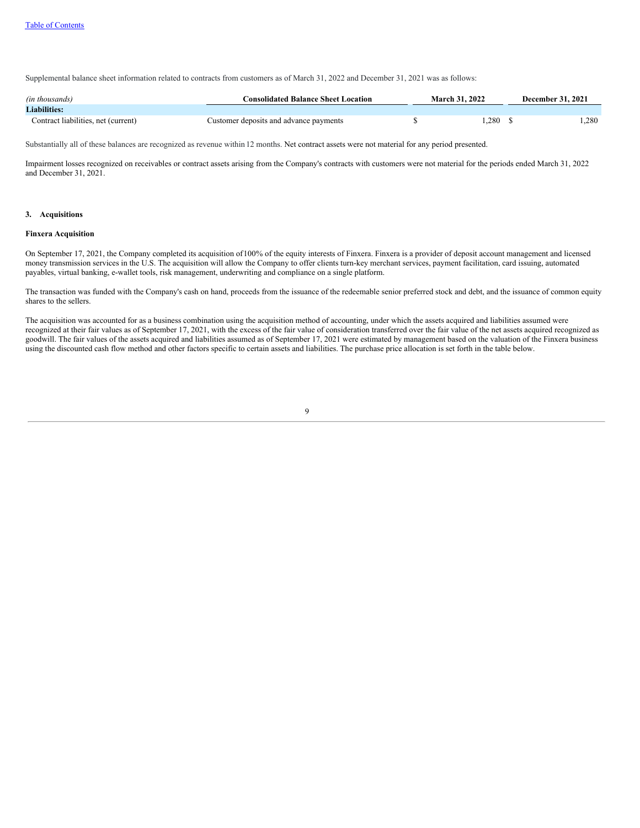Supplemental balance sheet information related to contracts from customers as of March 31, 2022 and December 31, 2021 was as follows:

| (in thousands)                      | <b>Consolidated Balance Sheet Location</b> | <b>March 31, 2022</b> |      | <b>December 31, 2021</b> |      |  |  |
|-------------------------------------|--------------------------------------------|-----------------------|------|--------------------------|------|--|--|
| <b>Liabilities:</b>                 |                                            |                       |      |                          |      |  |  |
| Contract liabilities, net (current) | Customer deposits and advance payments     |                       | .280 |                          | .280 |  |  |

Substantially all of these balances are recognized as revenue within 12 months. Net contract assets were not material for any period presented.

Impairment losses recognized on receivables or contract assets arising from the Company's contracts with customers were not material for the periods ended March 31, 2022 and December 31, 2021.

#### <span id="page-11-0"></span>**3. Acquisitions**

### **Finxera Acquisition**

On September 17, 2021, the Company completed its acquisition of100% of the equity interests of Finxera. Finxera is a provider of deposit account management and licensed money transmission services in the U.S. The acquisition will allow the Company to offer clients turn-key merchant services, payment facilitation, card issuing, automated payables, virtual banking, e-wallet tools, risk management, underwriting and compliance on a single platform.

The transaction was funded with the Company's cash on hand, proceeds from the issuance of the redeemable senior preferred stock and debt, and the issuance of common equity shares to the sellers.

The acquisition was accounted for as a business combination using the acquisition method of accounting, under which the assets acquired and liabilities assumed were recognized at their fair values as of September 17, 2021, with the excess of the fair value of consideration transferred over the fair value of the net assets acquired recognized as goodwill. The fair values of the assets acquired and liabilities assumed as of September 17, 2021 were estimated by management based on the valuation of the Finxera business using the discounted cash flow method and other factors specific to certain assets and liabilities. The purchase price allocation is set forth in the table below.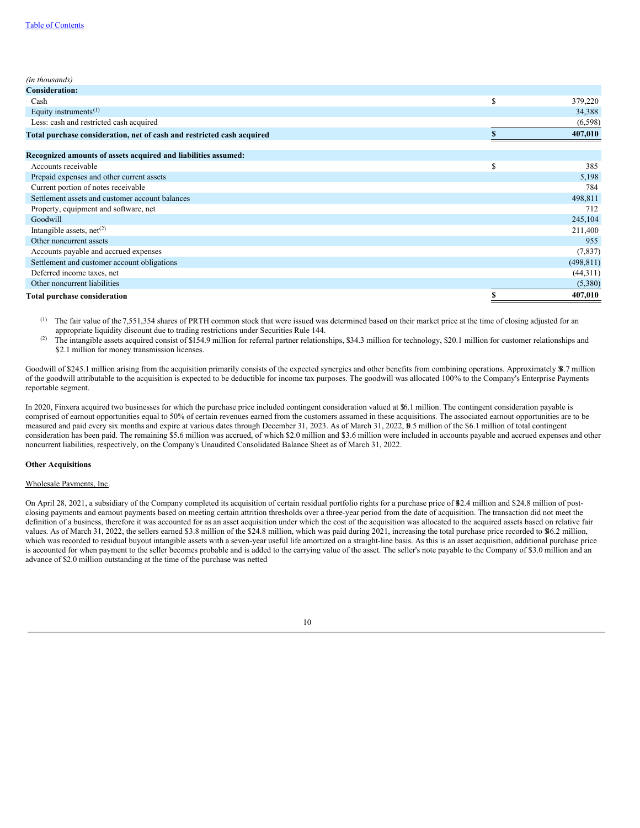| (in thousands)                                                         |    |            |
|------------------------------------------------------------------------|----|------------|
| <b>Consideration:</b>                                                  |    |            |
| Cash                                                                   | \$ | 379,220    |
| Equity instruments $(1)$                                               |    | 34,388     |
| Less: cash and restricted cash acquired                                |    | (6,598)    |
| Total purchase consideration, net of cash and restricted cash acquired |    | 407,010    |
|                                                                        |    |            |
| Recognized amounts of assets acquired and liabilities assumed:         |    |            |
| Accounts receivable                                                    | \$ | 385        |
| Prepaid expenses and other current assets                              |    | 5,198      |
| Current portion of notes receivable                                    |    | 784        |
| Settlement assets and customer account balances                        |    | 498,811    |
| Property, equipment and software, net                                  |    | 712        |
| Goodwill                                                               |    | 245,104    |
| Intangible assets, $net(2)$                                            |    | 211,400    |
| Other noncurrent assets                                                |    | 955        |
| Accounts payable and accrued expenses                                  |    | (7,837)    |
| Settlement and customer account obligations                            |    | (498, 811) |
| Deferred income taxes, net                                             |    | (44,311)   |
| Other noncurrent liabilities                                           |    | (5,380)    |
| <b>Total purchase consideration</b>                                    | S  | 407,010    |

The fair value of the 7,551,354 shares of PRTH common stock that were issued was determined based on their market price at the time of closing adjusted for an appropriate liquidity discount due to trading restrictions under Securities Rule 144. (1)

The intangible assets acquired consist of \$154.9 million for referral partner relationships, \$34.3 million for technology, \$20.1 million for customer relationships and \$2.1 million for money transmission licenses. (2)

Goodwill of \$245.1 million arising from the acquisition primarily consists of the expected synergies and other benefits from combining operations. Approximately \$8.7 million of the goodwill attributable to the acquisition is expected to be deductible for income tax purposes. The goodwill was allocated 100% to the Company's Enterprise Payments reportable segment.

In 2020, Finxera acquired two businesses for which the purchase price included contingent consideration valued at \$6.1 million. The contingent consideration payable is comprised of earnout opportunities equal to 50% of certain revenues earned from the customers assumed in these acquisitions. The associated earnout opportunities are to be measured and paid every six months and expire at various dates through December 31, 2023. As of March 31, 2022, \$0.5 million of the \$6.1 million of total contingent consideration has been paid. The remaining \$5.6 million was accrued, of which \$2.0 million and \$3.6 million were included in accounts payable and accrued expenses and other noncurrent liabilities, respectively, on the Company's Unaudited Consolidated Balance Sheet as of March 31, 2022.

#### **Other Acquisitions**

# Wholesale Payments, Inc.

On April 28, 2021, a subsidiary of the Company completed its acquisition of certain residual portfolio rights for a purchase price of \$42.4 million and \$24.8 million of postclosing payments and earnout payments based on meeting certain attrition thresholds over a three-year period from the date of acquisition. The transaction did not meet the definition of a business, therefore it was accounted for as an asset acquisition under which the cost of the acquisition was allocated to the acquired assets based on relative fair values. As of March 31, 2022, the sellers earned \$3.8 million of the \$24.8 million, which was paid during 2021, increasing the total purchase price recorded to \$46.2 million, which was recorded to residual buyout intangible assets with a seven-year useful life amortized on a straight-line basis. As this is an asset acquisition, additional purchase price is accounted for when payment to the seller becomes probable and is added to the carrying value of the asset. The seller's note payable to the Company of \$3.0 million and an advance of \$2.0 million outstanding at the time of the purchase was netted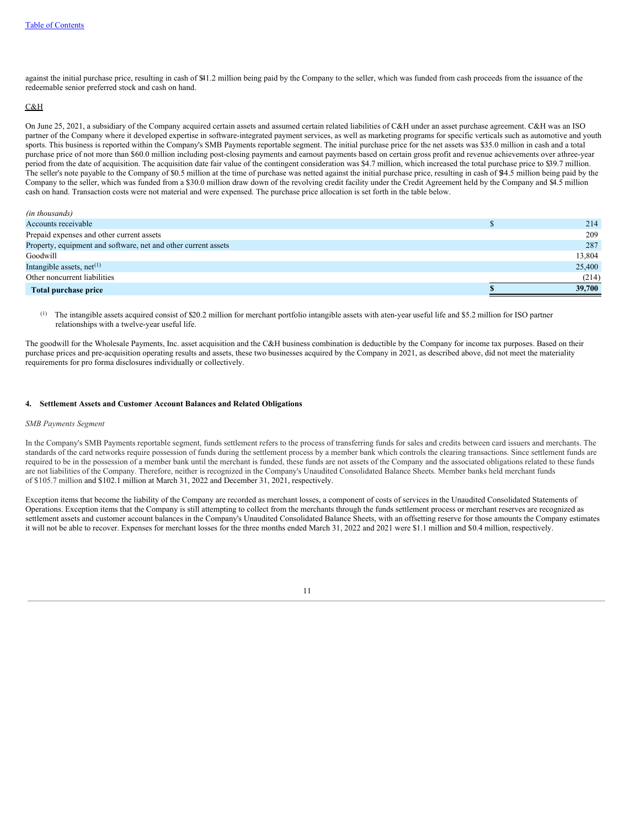against the initial purchase price, resulting in cash of \$41.2 million being paid by the Company to the seller, which was funded from cash proceeds from the issuance of the redeemable senior preferred stock and cash on hand.

### C&H

On June 25, 2021, a subsidiary of the Company acquired certain assets and assumed certain related liabilities of C&H under an asset purchase agreement. C&H was an ISO partner of the Company where it developed expertise in software-integrated payment services, as well as marketing programs for specific verticals such as automotive and youth sports. This business is reported within the Company's SMB Payments reportable segment. The initial purchase price for the net assets was \$35.0 million in cash and a total purchase price of not more than \$60.0 million including post-closing payments and earnout payments based on certain gross profit and revenue achievements over athree-year period from the date of acquisition. The acquisition date fair value of the contingent consideration was \$4.7 million, which increased the total purchase price to \$39.7 million. The seller's note payable to the Company of \$0.5 million at the time of purchase was netted against the initial purchase price, resulting in cash of \$4.5 million being paid by the Company to the seller, which was funded from a \$30.0 million draw down of the revolving credit facility under the Credit Agreement held by the Company and \$4.5 million cash on hand. Transaction costs were not material and were expensed. The purchase price allocation is set forth in the table below.

| (in thousands)                                                 |        |
|----------------------------------------------------------------|--------|
| Accounts receivable                                            | 214    |
| Prepaid expenses and other current assets                      | 209    |
| Property, equipment and software, net and other current assets | 287    |
| Goodwill                                                       | 13,804 |
| Intangible assets, $net^{(1)}$                                 | 25,400 |
| Other noncurrent liabilities                                   | (214)  |
| Total purchase price                                           | 39,700 |

The intangible assets acquired consist of \$20.2 million for merchant portfolio intangible assets with aten-year useful life and \$5.2 million for ISO partner relationships with a twelve-year useful life. (1)

The goodwill for the Wholesale Payments, Inc. asset acquisition and the C&H business combination is deductible by the Company for income tax purposes. Based on their purchase prices and pre-acquisition operating results and assets, these two businesses acquired by the Company in 2021, as described above, did not meet the materiality requirements for pro forma disclosures individually or collectively.

### <span id="page-13-0"></span>**4. Settlement Assets and Customer Account Balances and Related Obligations**

#### *SMB Payments Segment*

In the Company's SMB Payments reportable segment, funds settlement refers to the process of transferring funds for sales and credits between card issuers and merchants. The standards of the card networks require possession of funds during the settlement process by a member bank which controls the clearing transactions. Since settlement funds are required to be in the possession of a member bank until the merchant is funded, these funds are not assets of the Company and the associated obligations related to these funds are not liabilities of the Company. Therefore, neither is recognized in the Company's Unaudited Consolidated Balance Sheets. Member banks held merchant funds of \$105.7 million and \$102.1 million at March 31, 2022 and December 31, 2021, respectively.

Exception items that become the liability of the Company are recorded as merchant losses, a component of costs of services in the Unaudited Consolidated Statements of Operations. Exception items that the Company is still attempting to collect from the merchants through the funds settlement process or merchant reserves are recognized as settlement assets and customer account balances in the Company's Unaudited Consolidated Balance Sheets, with an offsetting reserve for those amounts the Company estimates it will not be able to recover. Expenses for merchant losses for the three months ended March 31, 2022 and 2021 were \$1.1 million and \$0.4 million, respectively.

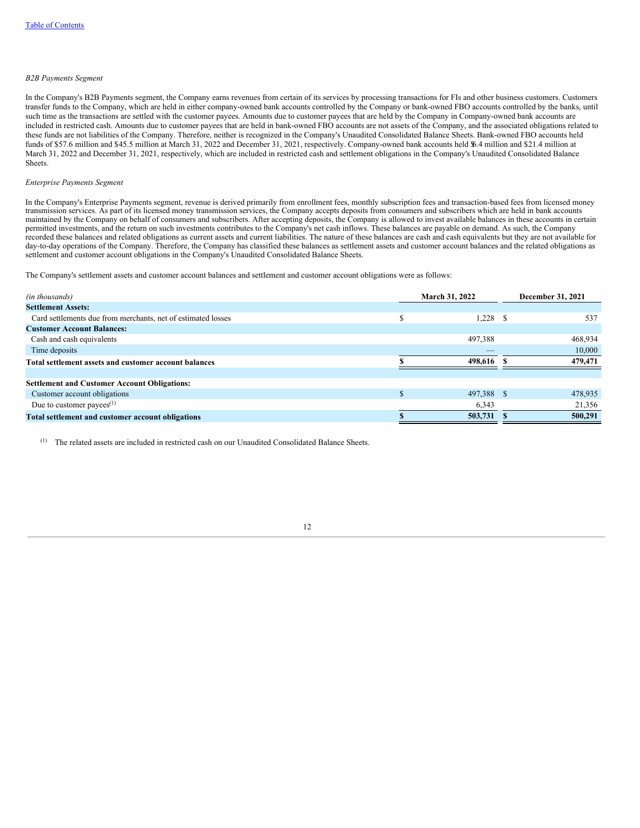#### *B2B Payments Segment*

In the Company's B2B Payments segment, the Company earns revenues from certain of its services by processing transactions for FIs and other business customers. Customers transfer funds to the Company, which are held in either company-owned bank accounts controlled by the Company or bank-owned FBO accounts controlled by the banks, until such time as the transactions are settled with the customer payees. Amounts due to customer payees that are held by the Company in Company-owned bank accounts are included in restricted cash. Amounts due to customer payees that are held in bank-owned FBO accounts are not assets of the Company, and the associated obligations related to these funds are not liabilities of the Company. Therefore, neither is recognized in the Company's Unaudited Consolidated Balance Sheets. Bank-owned FBO accounts held funds of \$57.6 million and \$45.5 million at March 31, 2022 and December 31, 2021, respectively. Company-owned bank accounts held \$6.4 million and \$21.4 million at March 31, 2022 and December 31, 2021, respectively, which are included in restricted cash and settlement obligations in the Company's Unaudited Consolidated Balance Sheets.

### *Enterprise Payments Segment*

In the Company's Enterprise Payments segment, revenue is derived primarily from enrollment fees, monthly subscription fees and transaction-based fees from licensed money transmission services. As part of its licensed money transmission services, the Company accepts deposits from consumers and subscribers which are held in bank accounts maintained by the Company on behalf of consumers and subscribers. After accepting deposits, the Company is allowed to invest available balances in these accounts in certain permitted investments, and the return on such investments contributes to the Company's net cash inflows. These balances are payable on demand. As such, the Company recorded these balances and related obligations as current assets and current liabilities. The nature of these balances are cash and cash equivalents but they are not available for day-to-day operations of the Company. Therefore, the Company has classified these balances as settlement assets and customer account balances and the related obligations as settlement and customer account obligations in the Company's Unaudited Consolidated Balance Sheets.

The Company's settlement assets and customer account balances and settlement and customer account obligations were as follows:

| (in thousands)                                               |   | <b>March 31, 2022</b> | December 31, 2021 |         |  |
|--------------------------------------------------------------|---|-----------------------|-------------------|---------|--|
| <b>Settlement Assets:</b>                                    |   |                       |                   |         |  |
| Card settlements due from merchants, net of estimated losses | ¢ | 1.228                 |                   | 537     |  |
| <b>Customer Account Balances:</b>                            |   |                       |                   |         |  |
| Cash and cash equivalents                                    |   | 497,388               |                   | 468,934 |  |
| Time deposits                                                |   |                       |                   | 10,000  |  |
| Total settlement assets and customer account balances        |   | 498.616               |                   | 479,471 |  |
|                                                              |   |                       |                   |         |  |
| <b>Settlement and Customer Account Obligations:</b>          |   |                       |                   |         |  |
| Customer account obligations                                 |   | 497,388 \$            |                   | 478,935 |  |
| Due to customer payees $(1)$                                 |   | 6,343                 |                   | 21,356  |  |
| Total settlement and customer account obligations            |   | 503,731               |                   | 500,291 |  |

<span id="page-14-0"></span>The related assets are included in restricted cash on our Unaudited Consolidated Balance Sheets. (1)

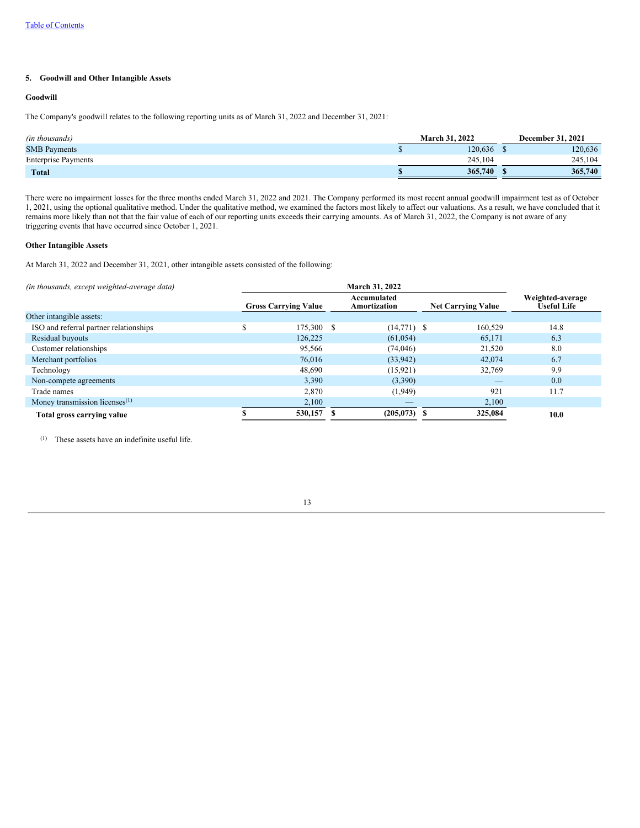# **5. Goodwill and Other Intangible Assets**

# **Goodwill**

The Company's goodwill relates to the following reporting units as of March 31, 2022 and December 31, 2021:

| (in thousands)             | <b>March 31, 2022</b> | <b>December 31, 2021</b> |
|----------------------------|-----------------------|--------------------------|
| <b>SMB</b> Payments        | 120.636               | 120,636                  |
| <b>Enterprise Payments</b> | 245.104               | 245.104                  |
| <b>Total</b>               | 365,740               | 365,740                  |

There were no impairment losses for the three months ended March 31, 2022 and 2021. The Company performed its most recent annual goodwill impairment test as of October 1, 2021, using the optional qualitative method. Under the qualitative method, we examined the factors most likely to affect our valuations. As a result, we have concluded that it remains more likely than not that the fair value of each of our reporting units exceeds their carrying amounts. As of March 31, 2022, the Company is not aware of any triggering events that have occurred since October 1, 2021.

#### **Other Intangible Assets**

At March 31, 2022 and December 31, 2021, other intangible assets consisted of the following:

| (in thousands, except weighted-average data) |   |                             |                             |                           |                                        |
|----------------------------------------------|---|-----------------------------|-----------------------------|---------------------------|----------------------------------------|
|                                              |   | <b>Gross Carrying Value</b> | Accumulated<br>Amortization | <b>Net Carrying Value</b> | Weighted-average<br><b>Useful Life</b> |
| Other intangible assets:                     |   |                             |                             |                           |                                        |
| ISO and referral partner relationships       | ¢ | 175,300 \$                  | $(14,771)$ \$               | 160,529                   | 14.8                                   |
| Residual buyouts                             |   | 126,225                     | (61, 054)                   | 65,171                    | 6.3                                    |
| Customer relationships                       |   | 95,566                      | (74,046)                    | 21,520                    | 8.0                                    |
| Merchant portfolios                          |   | 76,016                      | (33,942)                    | 42,074                    | 6.7                                    |
| Technology                                   |   | 48,690                      | (15, 921)                   | 32,769                    | 9.9                                    |
| Non-compete agreements                       |   | 3,390                       | (3,390)                     | _                         | 0.0                                    |
| Trade names                                  |   | 2,870                       | (1,949)                     | 921                       | 11.7                                   |
| Money transmission licenses $(1)$            |   | 2,100                       |                             | 2,100                     |                                        |
| Total gross carrying value                   |   | 530,157                     | $(205, 073)$ \$             | 325,084                   | 10.0                                   |

 $(1)$  These assets have an indefinite useful life.

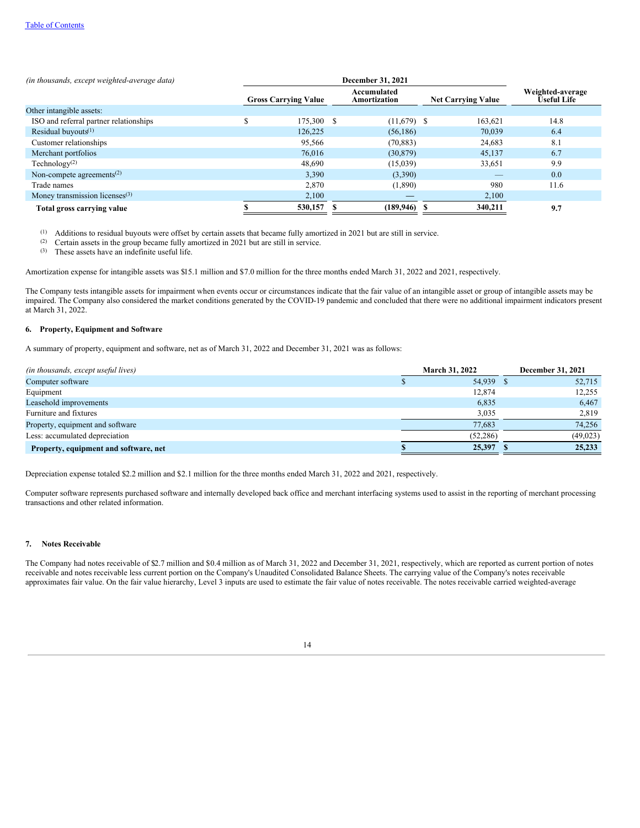| (in thousands, except weighted-average data)       | December 31, 2021 |                             |  |                             |  |                           |                                        |
|----------------------------------------------------|-------------------|-----------------------------|--|-----------------------------|--|---------------------------|----------------------------------------|
|                                                    |                   | <b>Gross Carrying Value</b> |  | Accumulated<br>Amortization |  | <b>Net Carrying Value</b> | Weighted-average<br><b>Useful Life</b> |
| Other intangible assets:                           |                   |                             |  |                             |  |                           |                                        |
| ISO and referral partner relationships             | ¢                 | 175,300 \$                  |  | $(11,679)$ \$               |  | 163.621                   | 14.8                                   |
| Residual buyouts $(1)$                             |                   | 126.225                     |  | (56, 186)                   |  | 70.039                    | 6.4                                    |
| Customer relationships                             |                   | 95,566                      |  | (70, 883)                   |  | 24,683                    | 8.1                                    |
| Merchant portfolios                                |                   | 76,016                      |  | (30, 879)                   |  | 45,137                    | 6.7                                    |
| Technology <sup>(2)</sup>                          |                   | 48,690                      |  | (15,039)                    |  | 33,651                    | 9.9                                    |
| Non-compete agreements <sup><math>(2)</math></sup> |                   | 3,390                       |  | (3,390)                     |  | _                         | 0.0                                    |
| Trade names                                        |                   | 2,870                       |  | (1,890)                     |  | 980                       | 11.6                                   |
| Money transmission licenses $(3)$                  |                   | 2,100                       |  |                             |  | 2,100                     |                                        |
| Total gross carrying value                         |                   | 530,157                     |  | $(189, 946)$ \$             |  | 340,211                   | 9.7                                    |

 $(1)$  Additions to residual buyouts were offset by certain assets that became fully amortized in 2021 but are still in service.

Certain assets in the group became fully amortized in 2021 but are still in service. (2)

These assets have an indefinite useful life. (3)

Amortization expense for intangible assets was \$15.1 million and \$7.0 million for the three months ended March 31, 2022 and 2021, respectively.

The Company tests intangible assets for impairment when events occur or circumstances indicate that the fair value of an intangible asset or group of intangible assets may be impaired. The Company also considered the market conditions generated by the COVID-19 pandemic and concluded that there were no additional impairment indicators present at March 31, 2022.

#### <span id="page-16-0"></span>**6. Property, Equipment and Software**

A summary of property, equipment and software, net as of March 31, 2022 and December 31, 2021 was as follows:

| (in thousands, except useful lives)   | <b>March 31, 2022</b> | December 31, 2021 |
|---------------------------------------|-----------------------|-------------------|
| Computer software                     | 54,939 \$             | 52,715            |
| Equipment                             | 12,874                | 12.255            |
| Leasehold improvements                | 6,835                 | 6,467             |
| Furniture and fixtures                | 3,035                 | 2,819             |
| Property, equipment and software      | 77.683                | 74.256            |
| Less: accumulated depreciation        | (52.286)              | (49, 023)         |
| Property, equipment and software, net | 25,397                | 25,233            |

Depreciation expense totaled \$2.2 million and \$2.1 million for the three months ended March 31, 2022 and 2021, respectively.

Computer software represents purchased software and internally developed back office and merchant interfacing systems used to assist in the reporting of merchant processing transactions and other related information.

# <span id="page-16-1"></span>**7. Notes Receivable**

The Company had notes receivable of \$2.7 million and \$0.4 million as of March 31, 2022 and December 31, 2021, respectively, which are reported as current portion of notes receivable and notes receivable less current portion on the Company's Unaudited Consolidated Balance Sheets. The carrying value of the Company's notes receivable approximates fair value. On the fair value hierarchy, Level 3 inputs are used to estimate the fair value of notes receivable. The notes receivable carried weighted-average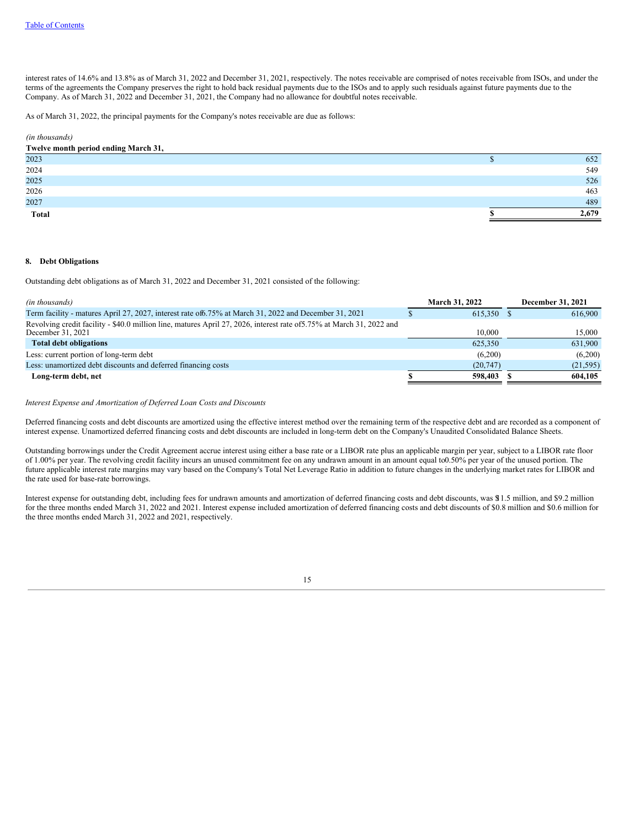interest rates of 14.6% and 13.8% as of March 31, 2022 and December 31, 2021, respectively. The notes receivable are comprised of notes receivable from ISOs, and under the terms of the agreements the Company preserves the right to hold back residual payments due to the ISOs and to apply such residuals against future payments due to the Company. As of March 31, 2022 and December 31, 2021, the Company had no allowance for doubtful notes receivable.

As of March 31, 2022, the principal payments for the Company's notes receivable are due as follows:

# *(in thousands)*

| Twelve month period ending March 31, |       |
|--------------------------------------|-------|
| 2023                                 | 652   |
| 2024                                 | 549   |
| 2025                                 | 526   |
| 2026                                 | 463   |
| 2027                                 | 489   |
| <b>Total</b>                         | 2,679 |

#### <span id="page-17-0"></span>**8. Debt Obligations**

Outstanding debt obligations as of March 31, 2022 and December 31, 2021 consisted of the following:

| (in thousands)                                                                                                                             | <b>March 31, 2022</b> | December 31, 2021 |
|--------------------------------------------------------------------------------------------------------------------------------------------|-----------------------|-------------------|
| Term facility - matures April 27, 2027, interest rate of 6.75% at March 31, 2022 and December 31, 2021                                     | 615.350 \$            | 616,900           |
| Revolving credit facility - \$40.0 million line, matures April 27, 2026, interest rate of 5.75% at March 31, 2022 and<br>December 31, 2021 | 10.000                | 15,000            |
| <b>Total debt obligations</b>                                                                                                              | 625,350               | 631,900           |
| Less: current portion of long-term debt                                                                                                    | (6,200)               | (6,200)           |
| Less: unamortized debt discounts and deferred financing costs                                                                              | (20, 747)             | (21, 595)         |
| Long-term debt, net                                                                                                                        | 598,403               | 604.105           |

*Interest Expense and Amortization of Deferred Loan Costs and Discounts*

Deferred financing costs and debt discounts are amortized using the effective interest method over the remaining term of the respective debt and are recorded as a component of interest expense. Unamortized deferred financing costs and debt discounts are included in long-term debt on the Company's Unaudited Consolidated Balance Sheets.

Outstanding borrowings under the Credit Agreement accrue interest using either a base rate or a LIBOR rate plus an applicable margin per year, subject to a LIBOR rate floor of 1.00% per year. The revolving credit facility incurs an unused commitment fee on any undrawn amount in an amount equal to0.50% per year of the unused portion. The future applicable interest rate margins may vary based on the Company's Total Net Leverage Ratio in addition to future changes in the underlying market rates for LIBOR and the rate used for base-rate borrowings.

Interest expense for outstanding debt, including fees for undrawn amounts and amortization of deferred financing costs and debt discounts, was \$11.5 million, and \$9.2 million for the three months ended March 31, 2022 and 2021. Interest expense included amortization of deferred financing costs and debt discounts of \$0.8 million and \$0.6 million for the three months ended March 31, 2022 and 2021, respectively.

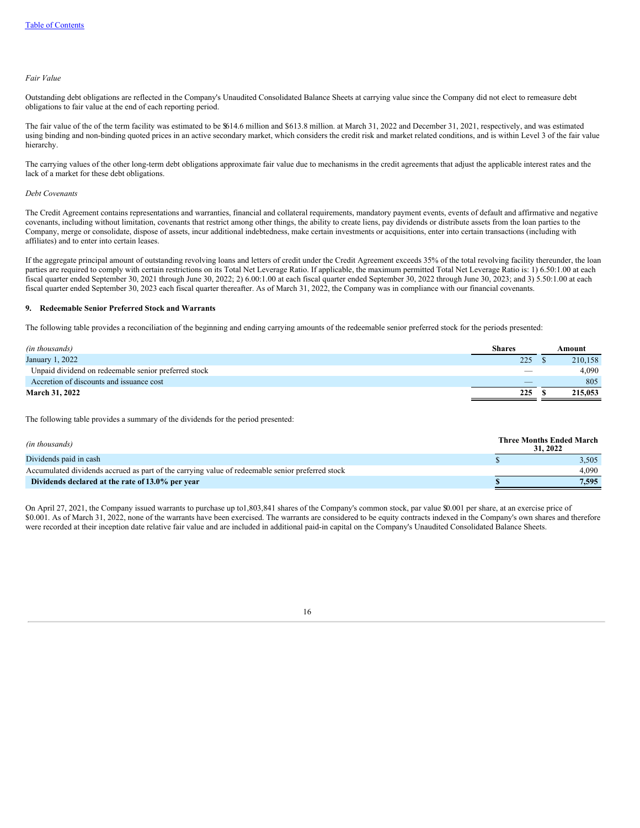#### *Fair Value*

Outstanding debt obligations are reflected in the Company's Unaudited Consolidated Balance Sheets at carrying value since the Company did not elect to remeasure debt obligations to fair value at the end of each reporting period.

The fair value of the of the term facility was estimated to be \$614.6 million and \$613.8 million. at March 31, 2022 and December 31, 2021, respectively, and was estimated using binding and non-binding quoted prices in an active secondary market, which considers the credit risk and market related conditions, and is within Level 3 of the fair value hierarchy.

The carrying values of the other long-term debt obligations approximate fair value due to mechanisms in the credit agreements that adjust the applicable interest rates and the lack of a market for these debt obligations.

### *Debt Covenants*

The Credit Agreement contains representations and warranties, financial and collateral requirements, mandatory payment events, events of default and affirmative and negative covenants, including without limitation, covenants that restrict among other things, the ability to create liens, pay dividends or distribute assets from the loan parties to the Company, merge or consolidate, dispose of assets, incur additional indebtedness, make certain investments or acquisitions, enter into certain transactions (including with affiliates) and to enter into certain leases.

If the aggregate principal amount of outstanding revolving loans and letters of credit under the Credit Agreement exceeds 35% of the total revolving facility thereunder, the loan parties are required to comply with certain restrictions on its Total Net Leverage Ratio. If applicable, the maximum permitted Total Net Leverage Ratio is: 1) 6.50:1.00 at each fiscal quarter ended September 30, 2021 through June 30, 2022; 2) 6.00:1.00 at each fiscal quarter ended September 30, 2022 through June 30, 2023; and 3) 5.50:1.00 at each fiscal quarter ended September 30, 2023 each fiscal quarter thereafter. As of March 31, 2022, the Company was in compliance with our financial covenants.

#### <span id="page-18-0"></span>**9. Redeemable Senior Preferred Stock and Warrants**

The following table provides a reconciliation of the beginning and ending carrying amounts of the redeemable senior preferred stock for the periods presented:

| (in thousands)                                       | <b>Shares</b> | Amount  |
|------------------------------------------------------|---------------|---------|
| January 1, 2022                                      | 225           | 210.158 |
| Unpaid dividend on redeemable senior preferred stock | __            | 4.090   |
| Accretion of discounts and issuance cost             |               | 805     |
| <b>March 31, 2022</b>                                | 225           | 215,053 |

The following table provides a summary of the dividends for the period presented:

| (in thousands)                                                                                   | <b>Three Months Ended March</b><br>31, 2022 |       |
|--------------------------------------------------------------------------------------------------|---------------------------------------------|-------|
| Dividends paid in cash                                                                           |                                             | 3.505 |
| Accumulated dividends accrued as part of the carrying value of redeemable senior preferred stock |                                             | 4.090 |
| Dividends declared at the rate of 13.0% per year                                                 |                                             | 7.595 |

<span id="page-18-1"></span>On April 27, 2021, the Company issued warrants to purchase up to1,803,841 shares of the Company's common stock, par value \$0.001 per share, at an exercise price of \$0.001. As of March 31, 2022, none of the warrants have been exercised. The warrants are considered to be equity contracts indexed in the Company's own shares and therefore were recorded at their inception date relative fair value and are included in additional paid-in capital on the Company's Unaudited Consolidated Balance Sheets.

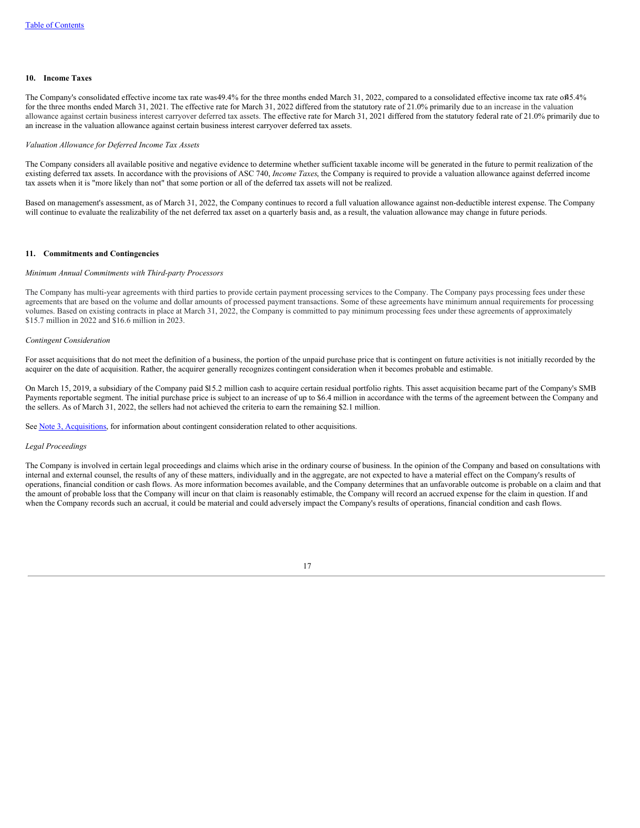#### **10. Income Taxes**

The Company's consolidated effective income tax rate was49.4% for the three months ended March 31, 2022, compared to a consolidated effective income tax rate of45.4% for the three months ended March 31, 2021. The effective rate for March 31, 2022 differed from the statutory rate of 21.0% primarily due to an increase in the valuation allowance against certain business interest carryover deferred tax assets. The effective rate for March 31, 2021 differed from the statutory federal rate of 21.0% primarily due to an increase in the valuation allowance against certain business interest carryover deferred tax assets.

#### *Valuation Allowance for Deferred Income Tax Assets*

The Company considers all available positive and negative evidence to determine whether sufficient taxable income will be generated in the future to permit realization of the existing deferred tax assets. In accordance with the provisions of ASC 740, *Income Taxes*, the Company is required to provide a valuation allowance against deferred income tax assets when it is "more likely than not" that some portion or all of the deferred tax assets will not be realized.

Based on management's assessment, as of March 31, 2022, the Company continues to record a full valuation allowance against non-deductible interest expense. The Company will continue to evaluate the realizability of the net deferred tax asset on a quarterly basis and, as a result, the valuation allowance may change in future periods.

### <span id="page-19-0"></span>**11. Commitments and Contingencies**

#### *Minimum Annual Commitments with Third-party Processors*

The Company has multi-year agreements with third parties to provide certain payment processing services to the Company. The Company pays processing fees under these agreements that are based on the volume and dollar amounts of processed payment transactions. Some of these agreements have minimum annual requirements for processing volumes. Based on existing contracts in place at March 31, 2022, the Company is committed to pay minimum processing fees under these agreements of approximately \$15.7 million in 2022 and \$16.6 million in 2023.

### *Contingent Consideration*

For asset acquisitions that do not meet the definition of a business, the portion of the unpaid purchase price that is contingent on future activities is not initially recorded by the acquirer on the date of acquisition. Rather, the acquirer generally recognizes contingent consideration when it becomes probable and estimable.

On March 15, 2019, a subsidiary of the Company paid \$15.2 million cash to acquire certain residual portfolio rights. This asset acquisition became part of the Company's SMB Payments reportable segment. The initial purchase price is subject to an increase of up to \$6.4 million in accordance with the terms of the agreement between the Company and the sellers. As of March 31, 2022, the sellers had not achieved the criteria to earn the remaining \$2.1 million.

See Note 3, [Acquisitions](#page-11-0), for information about contingent consideration related to other acquisitions.

#### *Legal Proceedings*

The Company is involved in certain legal proceedings and claims which arise in the ordinary course of business. In the opinion of the Company and based on consultations with internal and external counsel, the results of any of these matters, individually and in the aggregate, are not expected to have a material effect on the Company's results of operations, financial condition or cash flows. As more information becomes available, and the Company determines that an unfavorable outcome is probable on a claim and that the amount of probable loss that the Company will incur on that claim is reasonably estimable, the Company will record an accrued expense for the claim in question. If and when the Company records such an accrual, it could be material and could adversely impact the Company's results of operations, financial condition and cash flows.

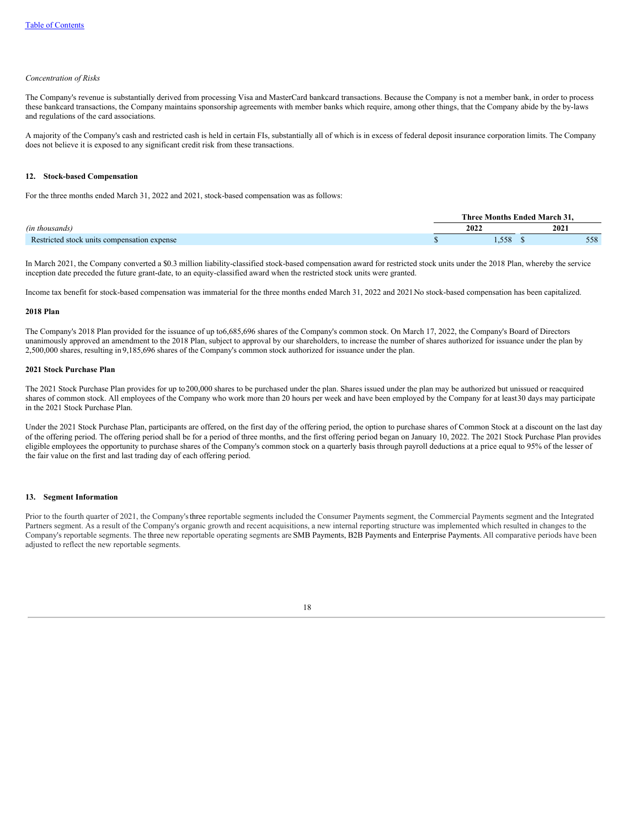#### *Concentration of Risks*

The Company's revenue is substantially derived from processing Visa and MasterCard bankcard transactions. Because the Company is not a member bank, in order to process these bankcard transactions, the Company maintains sponsorship agreements with member banks which require, among other things, that the Company abide by the by-laws and regulations of the card associations.

A majority of the Company's cash and restricted cash is held in certain FIs, substantially all of which is in excess of federal deposit insurance corporation limits. The Company does not believe it is exposed to any significant credit risk from these transactions.

#### <span id="page-20-0"></span>**12. Stock-based Compensation**

For the three months ended March 31, 2022 and 2021, stock-based compensation was as follows:

|                                             | <b>Three Months Ended March 31.</b> |      |
|---------------------------------------------|-------------------------------------|------|
| (in thousands)                              | 2022                                | 2021 |
| Restricted stock units compensation expense | . 558                               | 558  |

In March 2021, the Company converted a \$0.3 million liability-classified stock-based compensation award for restricted stock units under the 2018 Plan, whereby the service inception date preceded the future grant-date, to an equity-classified award when the restricted stock units were granted.

Income tax benefit for stock-based compensation was immaterial for the three months ended March 31, 2022 and 2021.No stock-based compensation has been capitalized.

### **2018 Plan**

The Company's 2018 Plan provided for the issuance of up to6,685,696 shares of the Company's common stock. On March 17, 2022, the Company's Board of Directors unanimously approved an amendment to the 2018 Plan, subject to approval by our shareholders, to increase the number of shares authorized for issuance under the plan by 2,500,000 shares, resulting in 9,185,696 shares of the Company's common stock authorized for issuance under the plan.

#### **2021 Stock Purchase Plan**

The 2021 Stock Purchase Plan provides for up to200,000 shares to be purchased under the plan. Shares issued under the plan may be authorized but unissued or reacquired shares of common stock. All employees of the Company who work more than 20 hours per week and have been employed by the Company for at least30 days may participate in the 2021 Stock Purchase Plan.

Under the 2021 Stock Purchase Plan, participants are offered, on the first day of the offering period, the option to purchase shares of Common Stock at a discount on the last day of the offering period. The offering period shall be for a period of three months, and the first offering period began on January 10, 2022. The 2021 Stock Purchase Plan provides eligible employees the opportunity to purchase shares of the Company's common stock on a quarterly basis through payroll deductions at a price equal to 95% of the lesser of the fair value on the first and last trading day of each offering period.

### <span id="page-20-1"></span>**13. Segment Information**

Prior to the fourth quarter of 2021, the Company's three reportable segments included the Consumer Payments segment, the Commercial Payments segment and the Integrated Partners segment. As a result of the Company's organic growth and recent acquisitions, a new internal reporting structure was implemented which resulted in changes to the Company's reportable segments. The three new reportable operating segments are SMB Payments, B2B Payments and Enterprise Payments. All comparative periods have been adjusted to reflect the new reportable segments.

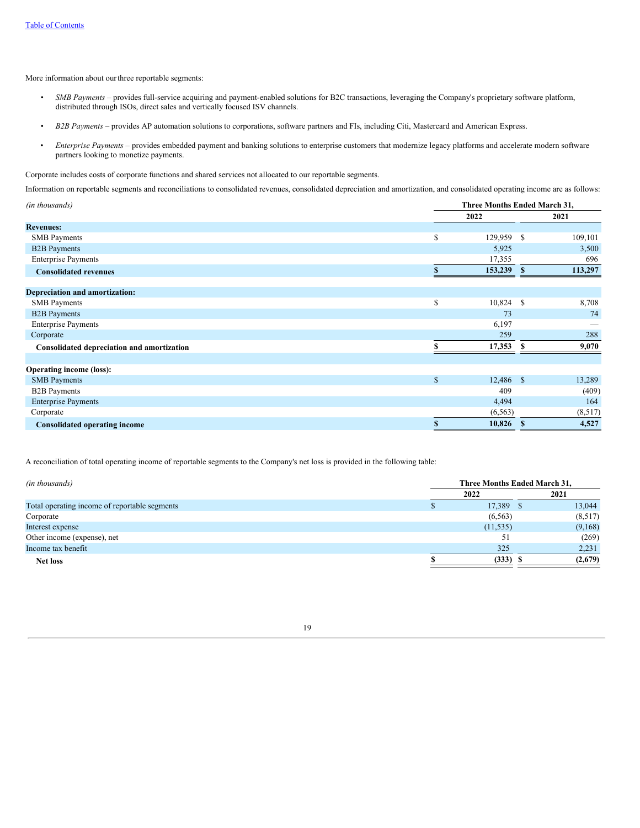More information about ourthree reportable segments:

- *• SMB Payments –* provides full-service acquiring and payment-enabled solutions for B2C transactions, leveraging the Company's proprietary software platform, distributed through ISOs, direct sales and vertically focused ISV channels.
- *• B2B Payments –* provides AP automation solutions to corporations, software partners and FIs, including Citi, Mastercard and American Express.
- *Enterprise Payments –* provides embedded payment and banking solutions to enterprise customers that modernize legacy platforms and accelerate modern software partners looking to monetize payments.

Corporate includes costs of corporate functions and shared services not allocated to our reportable segments.

Information on reportable segments and reconciliations to consolidated revenues, consolidated depreciation and amortization, and consolidated operating income are as follows:

| (in thousands)                             |              | Three Months Ended March 31, |               |         |  |  |  |  |  |
|--------------------------------------------|--------------|------------------------------|---------------|---------|--|--|--|--|--|
|                                            |              | 2022                         |               | 2021    |  |  |  |  |  |
| <b>Revenues:</b>                           |              |                              |               |         |  |  |  |  |  |
| <b>SMB</b> Payments                        | \$           | 129,959                      | -S            | 109,101 |  |  |  |  |  |
| <b>B2B</b> Payments                        |              | 5,925                        |               | 3,500   |  |  |  |  |  |
| <b>Enterprise Payments</b>                 |              | 17,355                       |               | 696     |  |  |  |  |  |
| <b>Consolidated revenues</b>               |              | 153,239                      | $\mathbf{s}$  | 113,297 |  |  |  |  |  |
| Depreciation and amortization:             |              |                              |               |         |  |  |  |  |  |
| <b>SMB</b> Payments                        | \$           | 10,824                       | <sup>\$</sup> | 8,708   |  |  |  |  |  |
| <b>B2B</b> Payments                        |              | 73                           |               | 74      |  |  |  |  |  |
| <b>Enterprise Payments</b>                 |              | 6,197                        |               |         |  |  |  |  |  |
| Corporate                                  |              | 259                          |               | 288     |  |  |  |  |  |
| Consolidated depreciation and amortization |              | 17,353                       |               | 9,070   |  |  |  |  |  |
| <b>Operating income (loss):</b>            |              |                              |               |         |  |  |  |  |  |
| <b>SMB</b> Payments                        | $\mathbb{S}$ | 12,486 \$                    |               | 13,289  |  |  |  |  |  |
| <b>B2B</b> Payments                        |              | 409                          |               | (409)   |  |  |  |  |  |
| <b>Enterprise Payments</b>                 |              | 4,494                        |               | 164     |  |  |  |  |  |
| Corporate                                  |              | (6, 563)                     |               | (8,517) |  |  |  |  |  |
| <b>Consolidated operating income</b>       |              | 10,826                       | S             | 4,527   |  |  |  |  |  |

A reconciliation of total operating income of reportable segments to the Company's net loss is provided in the following table:

| Three Months Ended March 31, |           |                 |         |  |  |  |  |
|------------------------------|-----------|-----------------|---------|--|--|--|--|
|                              | 2022      |                 | 2021    |  |  |  |  |
|                              |           |                 | 13,044  |  |  |  |  |
|                              | (6, 563)  |                 | (8,517) |  |  |  |  |
|                              | (11, 535) |                 | (9,168) |  |  |  |  |
|                              | 51        |                 | (269)   |  |  |  |  |
|                              | 325       |                 | 2,231   |  |  |  |  |
|                              |           |                 | (2,679) |  |  |  |  |
|                              |           | 17,389<br>(333) |         |  |  |  |  |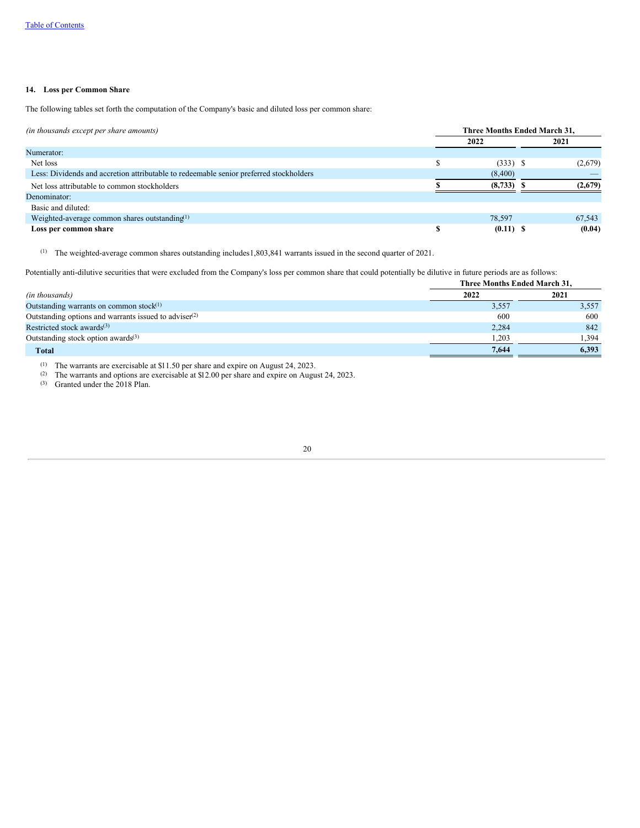# <span id="page-22-0"></span>**14. Loss per Common Share**

The following tables set forth the computation of the Company's basic and diluted loss per common share:

| (in thousands except per share amounts)                                                | Three Months Ended March 31, |              |  |         |  |  |  |
|----------------------------------------------------------------------------------------|------------------------------|--------------|--|---------|--|--|--|
|                                                                                        |                              | 2022         |  | 2021    |  |  |  |
| Numerator:                                                                             |                              |              |  |         |  |  |  |
| Net loss                                                                               |                              | $(333)$ \$   |  | (2,679) |  |  |  |
| Less: Dividends and accretion attributable to redeemable senior preferred stockholders |                              | (8,400)      |  |         |  |  |  |
| Net loss attributable to common stockholders                                           |                              | $(8,733)$ \$ |  | (2,679) |  |  |  |
| Denominator:                                                                           |                              |              |  |         |  |  |  |
| Basic and diluted:                                                                     |                              |              |  |         |  |  |  |
| Weighted-average common shares outstanding <sup><math>(1)</math></sup>                 |                              | 78.597       |  | 67,543  |  |  |  |
| Loss per common share                                                                  |                              | $(0.11)$ \$  |  | (0.04)  |  |  |  |

 $(1)$  The weighted-average common shares outstanding includes 1,803,841 warrants issued in the second quarter of 2021.

Potentially anti-dilutive securities that were excluded from the Company's loss per common share that could potentially be dilutive in future periods are as follows:

| Three Months Ended March 31, |       |
|------------------------------|-------|
| 2022                         | 2021  |
| 3,557                        | 3,557 |
| 600                          | 600   |
| 2,284                        | 842   |
| 1.203                        | 1.394 |
| 7.644                        | 6,393 |
|                              |       |

 $(1)$  The warrants are exercisable at \$11.50 per share and expire on August 24, 2023.

<sup>(2)</sup> The warrants and options are exercisable at \$12.00 per share and expire on August 24, 2023.

(3) Granted under the 2018 Plan.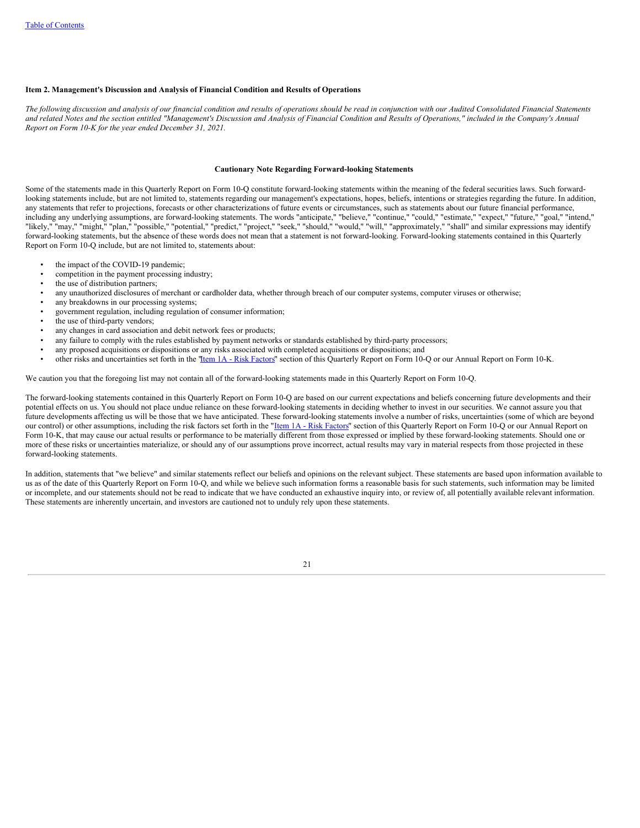### <span id="page-23-0"></span>**Item 2. Management's Discussion and Analysis of Financial Condition and Results of Operations**

The following discussion and analysis of our financial condition and results of operations should be read in conjunction with our Audited Consolidated Financial Statements and related Notes and the section entitled "Management's Discussion and Analysis of Financial Condition and Results of Operations," included in the Company's Annual *Report on Form 10-K for the year ended December 31, 2021.*

#### **Cautionary Note Regarding Forward-looking Statements**

Some of the statements made in this Quarterly Report on Form 10-Q constitute forward-looking statements within the meaning of the federal securities laws. Such forwardlooking statements include, but are not limited to, statements regarding our management's expectations, hopes, beliefs, intentions or strategies regarding the future. In addition, any statements that refer to projections, forecasts or other characterizations of future events or circumstances, such as statements about our future financial performance, including any underlying assumptions, are forward-looking statements. The words "anticipate," "believe," "continue," "could," "estimate," "expect," "future," "goal," "intend," "likely," "may," "might," "plan," "possible," "potential," "predict," "project," "seek," "should," "would," "will," "approximately," "shall" and similar expressions may identify forward-looking statements, but the absence of these words does not mean that a statement is not forward-looking. Forward-looking statements contained in this Quarterly Report on Form 10-Q include, but are not limited to, statements about:

- the impact of the COVID-19 pandemic;
- competition in the payment processing industry;
- the use of distribution partners;
- any unauthorized disclosures of merchant or cardholder data, whether through breach of our computer systems, computer viruses or otherwise;
- any breakdowns in our processing systems;
- government regulation, including regulation of consumer information;
- the use of third-party vendors;
- any changes in card association and debit network fees or products;
- any failure to comply with the rules established by payment networks or standards established by third-party processors;
- any proposed acquisitions or dispositions or any risks associated with completed acquisitions or dispositions; and
- other risks and uncertainties set forth in the "Item 1A Risk [Factors](#page-33-1)" section of this Quarterly Report on Form 10-Q or our Annual Report on Form 10-K.

We caution you that the foregoing list may not contain all of the forward-looking statements made in this Quarterly Report on Form 10-Q.

The forward-looking statements contained in this Quarterly Report on Form 10-Q are based on our current expectations and beliefs concerning future developments and their potential effects on us. You should not place undue reliance on these forward-looking statements in deciding whether to invest in our securities. We cannot assure you that future developments affecting us will be those that we have anticipated. These forward-looking statements involve a number of risks, uncertainties (some of which are beyond our control) or other assumptions, including the risk factors set forth in the "Item 1A - Risk [Factors](#page-33-1)" section of this Quarterly Report on Form 10-Q or our Annual Report on Form 10-K, that may cause our actual results or performance to be materially different from those expressed or implied by these forward-looking statements. Should one or more of these risks or uncertainties materialize, or should any of our assumptions prove incorrect, actual results may vary in material respects from those projected in these forward-looking statements.

In addition, statements that "we believe" and similar statements reflect our beliefs and opinions on the relevant subject. These statements are based upon information available to us as of the date of this Quarterly Report on Form 10-Q, and while we believe such information forms a reasonable basis for such statements, such information may be limited or incomplete, and our statements should not be read to indicate that we have conducted an exhaustive inquiry into, or review of, all potentially available relevant information. These statements are inherently uncertain, and investors are cautioned not to unduly rely upon these statements.

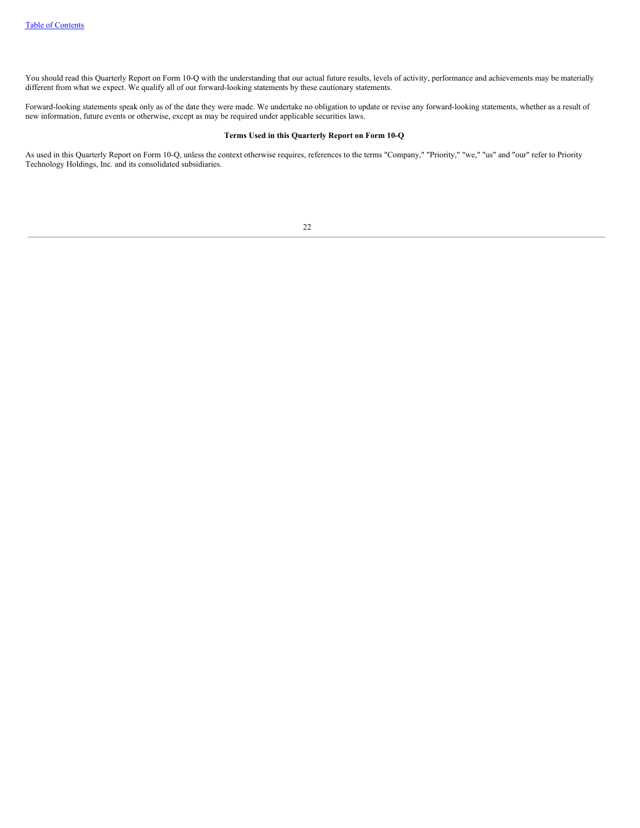You should read this Quarterly Report on Form 10-Q with the understanding that our actual future results, levels of activity, performance and achievements may be materially different from what we expect. We qualify all of our forward-looking statements by these cautionary statements.

Forward-looking statements speak only as of the date they were made. We undertake no obligation to update or revise any forward-looking statements, whether as a result of new information, future events or otherwise, except as may be required under applicable securities laws.

### **Terms Used in this Quarterly Report on Form 10-Q**

As used in this Quarterly Report on Form 10-Q, unless the context otherwise requires, references to the terms "Company," "Priority," "we," "us" and "our" refer to Priority Technology Holdings, Inc. and its consolidated subsidiaries.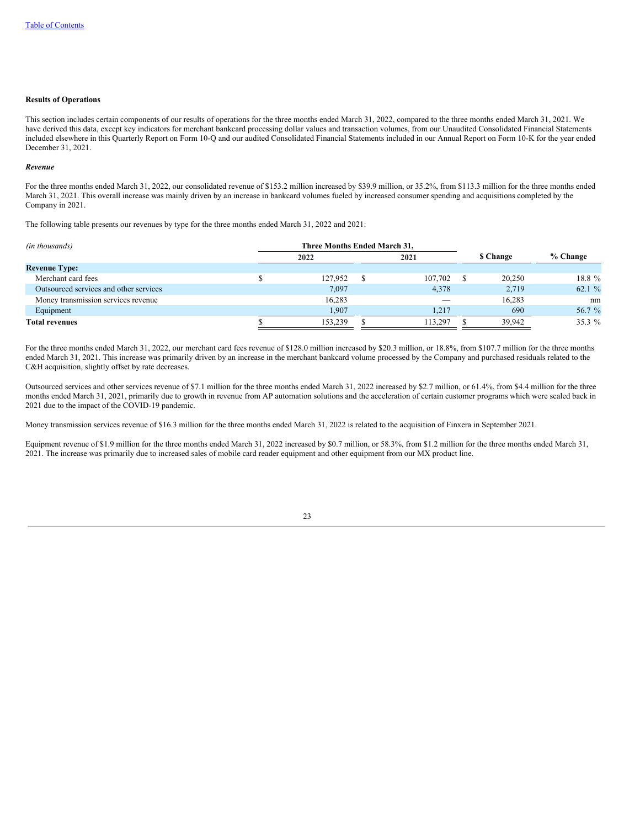### **Results of Operations**

This section includes certain components of our results of operations for the three months ended March 31, 2022, compared to the three months ended March 31, 2021. We have derived this data, except key indicators for merchant bankcard processing dollar values and transaction volumes, from our Unaudited Consolidated Financial Statements included elsewhere in this Quarterly Report on Form 10-Q and our audited Consolidated Financial Statements included in our Annual Report on Form 10-K for the year ended December 31, 2021.

#### *Revenue*

For the three months ended March 31, 2022, our consolidated revenue of \$153.2 million increased by \$39.9 million, or 35.2%, from \$113.3 million for the three months ended March 31, 2021. This overall increase was mainly driven by an increase in bankcard volumes fueled by increased consumer spending and acquisitions completed by the Company in 2021.

The following table presents our revenues by type for the three months ended March 31, 2022 and 2021:

| (in thousands)                         | Three Months Ended March 31. |         |  |         |  |        |          |  |                 |  |          |
|----------------------------------------|------------------------------|---------|--|---------|--|--------|----------|--|-----------------|--|----------|
|                                        | 2021<br>2022                 |         |  |         |  |        |          |  | <b>S</b> Change |  | % Change |
| <b>Revenue Type:</b>                   |                              |         |  |         |  |        |          |  |                 |  |          |
| Merchant card fees                     |                              | 127,952 |  | 107.702 |  | 20,250 | 18.8 %   |  |                 |  |          |
| Outsourced services and other services |                              | 7,097   |  | 4.378   |  | 2,719  | 62.1 %   |  |                 |  |          |
| Money transmission services revenue    |                              | 16.283  |  |         |  | 16.283 | nm       |  |                 |  |          |
| Equipment                              |                              | 1.907   |  | 1.217   |  | 690    | 56.7 %   |  |                 |  |          |
| <b>Total revenues</b>                  |                              | 153,239 |  | 113.297 |  | 39.942 | $35.3\%$ |  |                 |  |          |

For the three months ended March 31, 2022, our merchant card fees revenue of \$128.0 million increased by \$20.3 million, or 18.8%, from \$107.7 million for the three months ended March 31, 2021. This increase was primarily driven by an increase in the merchant bankcard volume processed by the Company and purchased residuals related to the C&H acquisition, slightly offset by rate decreases.

Outsourced services and other services revenue of \$7.1 million for the three months ended March 31, 2022 increased by \$2.7 million, or 61.4%, from \$4.4 million for the three months ended March 31, 2021, primarily due to growth in revenue from AP automation solutions and the acceleration of certain customer programs which were scaled back in 2021 due to the impact of the COVID-19 pandemic.

Money transmission services revenue of \$16.3 million for the three months ended March 31, 2022 is related to the acquisition of Finxera in September 2021.

Equipment revenue of \$1.9 million for the three months ended March 31, 2022 increased by \$0.7 million, or 58.3%, from \$1.2 million for the three months ended March 31, 2021. The increase was primarily due to increased sales of mobile card reader equipment and other equipment from our MX product line.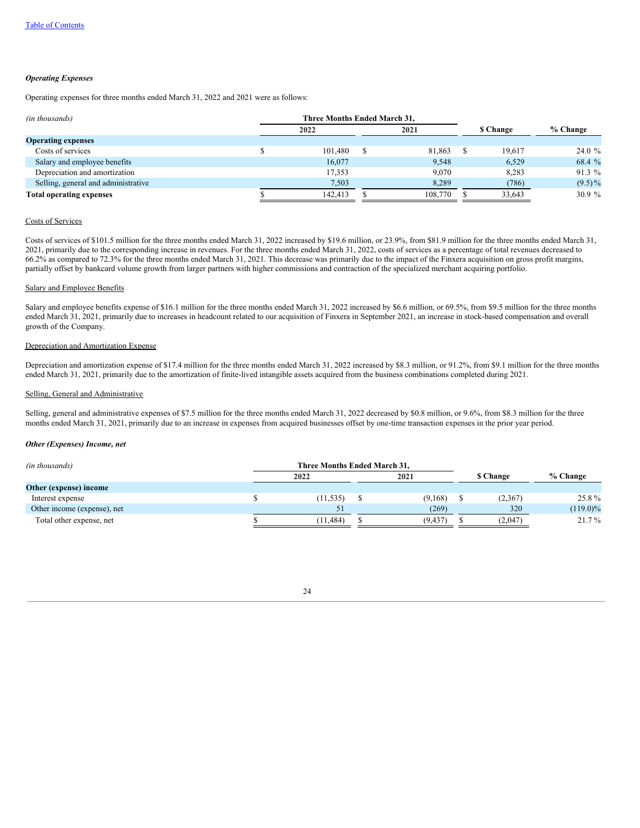### *Operating Expenses*

Operating expenses for three months ended March 31, 2022 and 2021 were as follows:

| (in thousands)                      | Three Months Ended March 31. |  |         |  |        |           |                 |          |
|-------------------------------------|------------------------------|--|---------|--|--------|-----------|-----------------|----------|
|                                     | 2021<br>2022                 |  |         |  |        |           | <b>S</b> Change | % Change |
| <b>Operating expenses</b>           |                              |  |         |  |        |           |                 |          |
| Costs of services                   | 101.480                      |  | 81.863  |  | 19.617 | 24.0%     |                 |          |
| Salary and employee benefits        | 16.077                       |  | 9.548   |  | 6,529  | 68.4 %    |                 |          |
| Depreciation and amortization       | 17.353                       |  | 9.070   |  | 8.283  | $91.3\%$  |                 |          |
| Selling, general and administrative | 7,503                        |  | 8.289   |  | (786)  | $(9.5)\%$ |                 |          |
| <b>Total operating expenses</b>     | 142.413                      |  | 108,770 |  | 33,643 | 30.9 $%$  |                 |          |

# Costs of Services

Costs of services of \$101.5 million for the three months ended March 31, 2022 increased by \$19.6 million, or 23.9%, from \$81.9 million for the three months ended March 31, 2021, primarily due to the corresponding increase in revenues. For the three months ended March 31, 2022, costs of services as a percentage of total revenues decreased to 66.2% as compared to 72.3% for the three months ended March 31, 2021. This decrease was primarily due to the impact of the Finxera acquisition on gross profit margins, partially offset by bankcard volume growth from larger partners with higher commissions and contraction of the specialized merchant acquiring portfolio.

#### Salary and Employee Benefits

Salary and employee benefits expense of \$16.1 million for the three months ended March 31, 2022 increased by \$6.6 million, or 69.5%, from \$9.5 million for the three months ended March 31, 2021, primarily due to increases in headcount related to our acquisition of Finxera in September 2021, an increase in stock-based compensation and overall growth of the Company.

# Depreciation and Amortization Expense

Depreciation and amortization expense of \$17.4 million for the three months ended March 31, 2022 increased by \$8.3 million, or 91.2%, from \$9.1 million for the three months ended March 31, 2021, primarily due to the amortization of finite-lived intangible assets acquired from the business combinations completed during 2021.

#### Selling, General and Administrative

Selling, general and administrative expenses of \$7.5 million for the three months ended March 31, 2022 decreased by \$0.8 million, or 9.6%, from \$8.3 million for the three months ended March 31, 2021, primarily due to an increase in expenses from acquired businesses offset by one-time transaction expenses in the prior year period.

# *Other (Expenses) Income, net*

| (in thousands)              |      | Three Months Ended March 31. |  |          |  |                 |             |
|-----------------------------|------|------------------------------|--|----------|--|-----------------|-------------|
|                             | 2022 |                              |  | 2021     |  | <b>S</b> Change | % Change    |
| Other (expense) income      |      |                              |  |          |  |                 |             |
| Interest expense            |      | (11, 535)                    |  | (9,168)  |  | (2,367)         | 25.8%       |
| Other income (expense), net |      | 51                           |  | (269)    |  | 320             | $(119.0)\%$ |
| Total other expense, net    |      | (11, 484)                    |  | (9, 437) |  | (2,047          | 21.7 %      |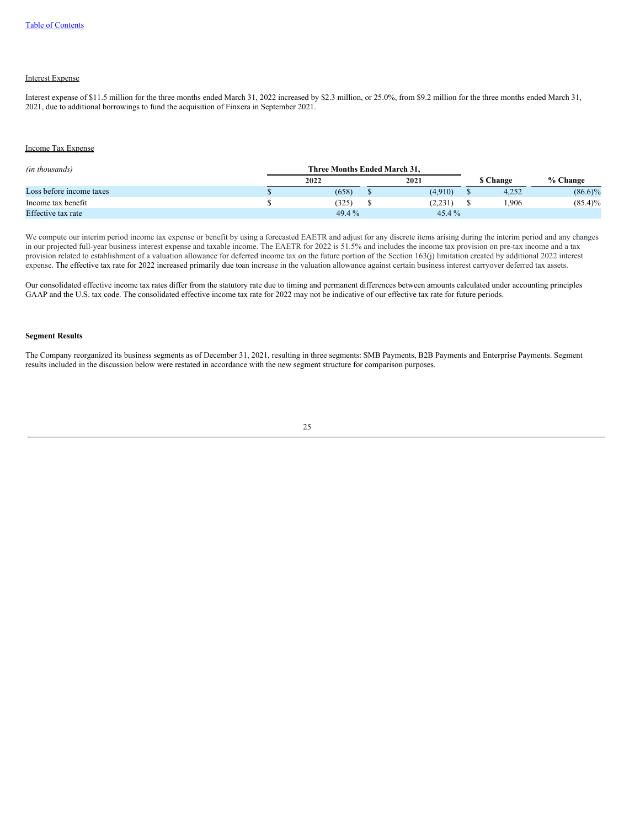# Interest Expense

Interest expense of \$11.5 million for the three months ended March 31, 2022 increased by \$2.3 million, or 25.0%, from \$9.2 million for the three months ended March 31, 2021, due to additional borrowings to fund the acquisition of Finxera in September 2021.

### Income Tax Expense

| (in thousands)           | Three Months Ended March 31. |          |                 |            |
|--------------------------|------------------------------|----------|-----------------|------------|
|                          | 2022                         | 2021     | <b>S</b> Change | % Change   |
| Loss before income taxes | (658)                        | (4.910)  | 4.252           | $(86.6)\%$ |
| Income tax benefit       | (325)                        | (2.231)  | .906            | $(85.4)\%$ |
| Effective tax rate       | 49.4 %                       | $45.4\%$ |                 |            |

We compute our interim period income tax expense or benefit by using a forecasted EAETR and adjust for any discrete items arising during the interim period and any changes in our projected full-year business interest expense and taxable income. The EAETR for 2022 is 51.5% and includes the income tax provision on pre-tax income and a tax provision related to establishment of a valuation allowance for deferred income tax on the future portion of the Section 163(j) limitation created by additional 2022 interest expense. The effective tax rate for 2022 increased primarily due toan increase in the valuation allowance against certain business interest carryover deferred tax assets.

Our consolidated effective income tax rates differ from the statutory rate due to timing and permanent differences between amounts calculated under accounting principles GAAP and the U.S. tax code. The consolidated effective income tax rate for 2022 may not be indicative of our effective tax rate for future periods.

#### **Segment Results**

The Company reorganized its business segments as of December 31, 2021, resulting in three segments: SMB Payments, B2B Payments and Enterprise Payments. Segment results included in the discussion below were restated in accordance with the new segment structure for comparison purposes.

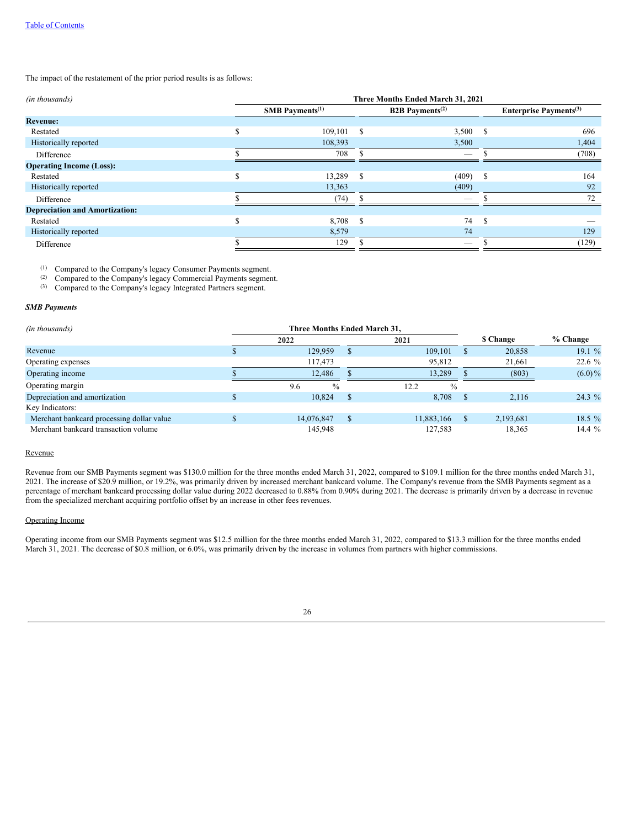The impact of the restatement of the prior period results is as follows:

| (in thousands)                        | Three Months Ended March 31, 2021 |                               |                                    |                          |               |                                           |  |
|---------------------------------------|-----------------------------------|-------------------------------|------------------------------------|--------------------------|---------------|-------------------------------------------|--|
|                                       |                                   | $SMB$ Payments <sup>(1)</sup> | <b>B2B</b> Payments <sup>(2)</sup> |                          |               | <b>Enterprise Payments</b> <sup>(3)</sup> |  |
| <b>Revenue:</b>                       |                                   |                               |                                    |                          |               |                                           |  |
| Restated                              | \$                                | 109,101                       | -S                                 | 3,500                    | - \$          | 696                                       |  |
| Historically reported                 |                                   | 108,393                       |                                    | 3,500                    |               | 1,404                                     |  |
| Difference                            |                                   | 708                           |                                    | -                        |               | (708)                                     |  |
| <b>Operating Income (Loss):</b>       |                                   |                               |                                    |                          |               |                                           |  |
| Restated                              | ሖ<br>ה.                           | 13,289                        | <sup>\$</sup>                      | (409)                    | <sup>\$</sup> | 164                                       |  |
| Historically reported                 |                                   | 13,363                        |                                    | (409)                    |               | 92                                        |  |
| Difference                            |                                   | (74)                          |                                    | $\overline{\phantom{a}}$ |               | 72                                        |  |
| <b>Depreciation and Amortization:</b> |                                   |                               |                                    |                          |               |                                           |  |
| Restated                              | \$                                | 8,708                         | <sup>\$</sup>                      | 74                       | <sup>\$</sup> |                                           |  |
| Historically reported                 |                                   | 8,579                         |                                    | 74                       |               | 129                                       |  |
| Difference                            |                                   | 129                           |                                    |                          |               | (129)                                     |  |

 $(1)$  Compared to the Company's legacy Consumer Payments segment.

Compared to the Company's legacy Commercial Payments segment. (2)

Compared to the Company's legacy Integrated Partners segment. (3)

#### *SMB Payments*

| Three Months Ended March 31,<br>(in thousands) |  |                      |          |                       |  |           |           |
|------------------------------------------------|--|----------------------|----------|-----------------------|--|-----------|-----------|
|                                                |  | 2022                 | 2021     |                       |  | \$ Change | % Change  |
| Revenue                                        |  | 129.959              |          | 109.101               |  | 20,858    | 19.1 $%$  |
| Operating expenses                             |  | 117,473              |          | 95,812                |  | 21,661    | $22.6\%$  |
| Operating income                               |  | 12.486               |          | 13.289                |  | (803)     | $(6.0)\%$ |
| Operating margin                               |  | 9.6<br>$\frac{0}{0}$ |          | 12.2<br>$\frac{0}{0}$ |  |           |           |
| Depreciation and amortization                  |  | 10.824               | -8       | 8,708                 |  | 2.116     | $24.3\%$  |
| Key Indicators:                                |  |                      |          |                       |  |           |           |
| Merchant bankcard processing dollar value      |  | 14,076,847           | <b>S</b> | 11,883,166            |  | 2,193,681 | 18.5 $%$  |
| Merchant bankcard transaction volume           |  | 145,948              |          | 127,583               |  | 18,365    | 14.4 $%$  |

# Revenue

Revenue from our SMB Payments segment was \$130.0 million for the three months ended March 31, 2022, compared to \$109.1 million for the three months ended March 31, 2021. The increase of \$20.9 million, or 19.2%, was primarily driven by increased merchant bankcard volume. The Company's revenue from the SMB Payments segment as a percentage of merchant bankcard processing dollar value during 2022 decreased to 0.88% from 0.90% during 2021. The decrease is primarily driven by a decrease in revenue from the specialized merchant acquiring portfolio offset by an increase in other fees revenues.

# Operating Income

Operating income from our SMB Payments segment was \$12.5 million for the three months ended March 31, 2022, compared to \$13.3 million for the three months ended March 31, 2021. The decrease of \$0.8 million, or 6.0%, was primarily driven by the increase in volumes from partners with higher commissions.

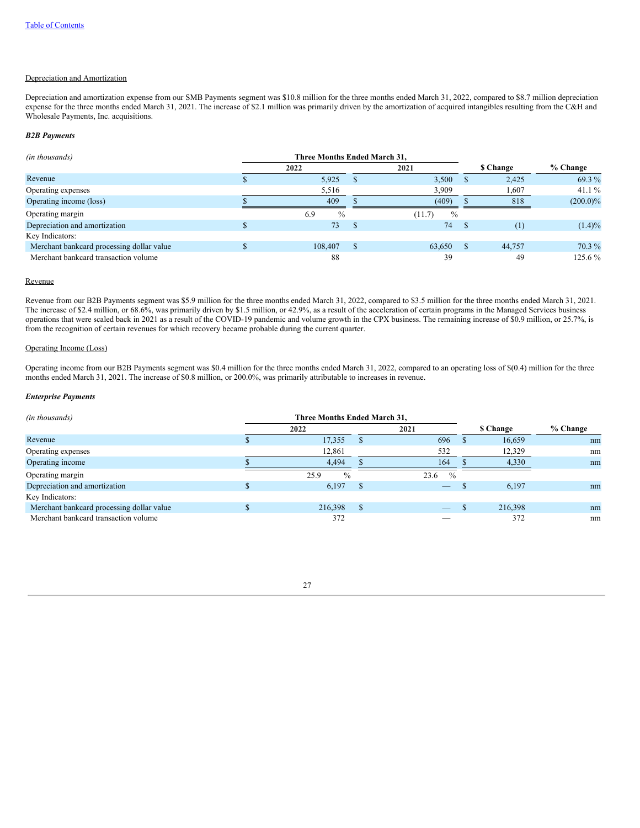#### Depreciation and Amortization

Depreciation and amortization expense from our SMB Payments segment was \$10.8 million for the three months ended March 31, 2022, compared to \$8.7 million depreciation expense for the three months ended March 31, 2021. The increase of \$2.1 million was primarily driven by the amortization of acquired intangibles resulting from the C&H and Wholesale Payments, Inc. acquisitions.

### *B2B Payments*

| (in thousands)                            | Three Months Ended March 31, |                         |           |             |
|-------------------------------------------|------------------------------|-------------------------|-----------|-------------|
|                                           | 2022                         | 2021                    | \$ Change | % Change    |
| Revenue                                   | 5,925                        | 3,500                   | 2.425     | 69.3 %      |
| Operating expenses                        | 5,516                        | 3.909                   | 1,607     | 41.1 $%$    |
| Operating income (loss)                   | 409                          | (409)                   | 818       | $(200.0)\%$ |
| Operating margin                          | $\frac{0}{0}$<br>6.9         | $\frac{0}{0}$<br>(11.7) |           |             |
| Depreciation and amortization             | 73.                          | 74                      | (1)       | $(1.4)\%$   |
| Key Indicators:                           |                              |                         |           |             |
| Merchant bankcard processing dollar value | 108,407                      | 63,650                  | 44,757    | 70.3 %      |
| Merchant bankcard transaction volume      | 88                           | 39                      | 49        | $125.6\%$   |

## Revenue

Revenue from our B2B Payments segment was \$5.9 million for the three months ended March 31, 2022, compared to \$3.5 million for the three months ended March 31, 2021. The increase of \$2.4 million, or 68.6%, was primarily driven by \$1.5 million, or 42.9%, as a result of the acceleration of certain programs in the Managed Services business operations that were scaled back in 2021 as a result of the COVID-19 pandemic and volume growth in the CPX business. The remaining increase of \$0.9 million, or 25.7%, is from the recognition of certain revenues for which recovery became probable during the current quarter.

### Operating Income (Loss)

Operating income from our B2B Payments segment was \$0.4 million for the three months ended March 31, 2022, compared to an operating loss of \$(0.4) million for the three months ended March 31, 2021. The increase of \$0.8 million, or 200.0%, was primarily attributable to increases in revenue.

# *Enterprise Payments*

| (in thousands)                            | Three Months Ended March 31, |                       |    |                          |  |                 |            |
|-------------------------------------------|------------------------------|-----------------------|----|--------------------------|--|-----------------|------------|
|                                           |                              | 2022                  |    | 2021                     |  | <b>S</b> Change | $%$ Change |
| Revenue                                   |                              | 17,355                |    | 696                      |  | 16,659          | nm         |
| Operating expenses                        |                              | 12,861                |    | 532                      |  | 12,329          | nm         |
| Operating income                          |                              | 4.494                 |    | 164                      |  | 4,330           | nm         |
| Operating margin                          |                              | 25.9<br>$\frac{0}{0}$ |    | $\frac{0}{0}$<br>23.6    |  |                 |            |
| Depreciation and amortization             |                              | 6,197                 | S. | $\qquad \qquad - \qquad$ |  | 6,197           | nm         |
| Key Indicators:                           |                              |                       |    |                          |  |                 |            |
| Merchant bankcard processing dollar value |                              | 216,398               |    | $-$                      |  | 216,398         | nm         |
| Merchant bankcard transaction volume      |                              | 372                   |    |                          |  | 372             | nm         |

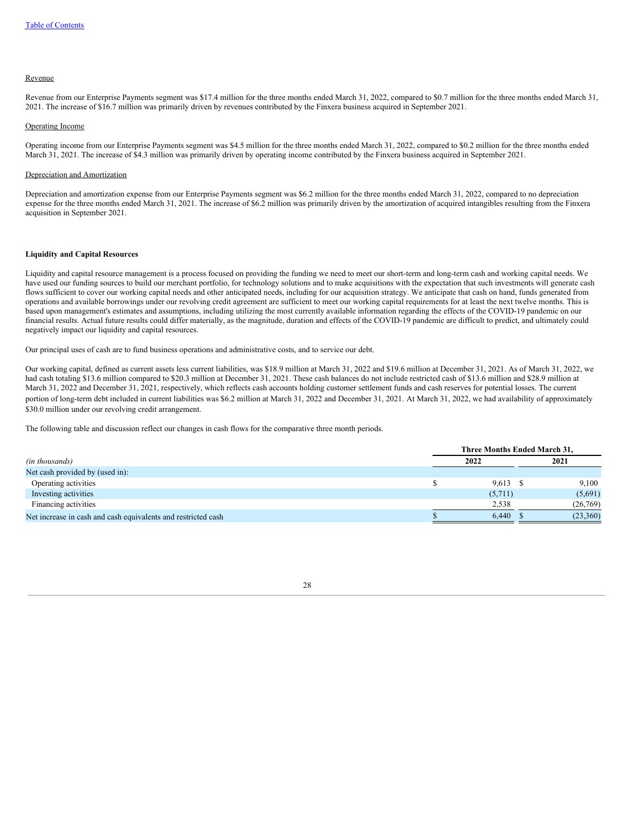#### Revenue

Revenue from our Enterprise Payments segment was \$17.4 million for the three months ended March 31, 2022, compared to \$0.7 million for the three months ended March 31, 2021. The increase of \$16.7 million was primarily driven by revenues contributed by the Finxera business acquired in September 2021.

#### Operating Income

Operating income from our Enterprise Payments segment was \$4.5 million for the three months ended March 31, 2022, compared to \$0.2 million for the three months ended March 31, 2021. The increase of \$4.3 million was primarily driven by operating income contributed by the Finxera business acquired in September 2021.

### Depreciation and Amortization

Depreciation and amortization expense from our Enterprise Payments segment was \$6.2 million for the three months ended March 31, 2022, compared to no depreciation expense for the three months ended March 31, 2021. The increase of \$6.2 million was primarily driven by the amortization of acquired intangibles resulting from the Finxera acquisition in September 2021.

### **Liquidity and Capital Resources**

Liquidity and capital resource management is a process focused on providing the funding we need to meet our short-term and long-term cash and working capital needs. We have used our funding sources to build our merchant portfolio, for technology solutions and to make acquisitions with the expectation that such investments will generate cash flows sufficient to cover our working capital needs and other anticipated needs, including for our acquisition strategy. We anticipate that cash on hand, funds generated from operations and available borrowings under our revolving credit agreement are sufficient to meet our working capital requirements for at least the next twelve months. This is based upon management's estimates and assumptions, including utilizing the most currently available information regarding the effects of the COVID-19 pandemic on our financial results. Actual future results could differ materially, as the magnitude, duration and effects of the COVID-19 pandemic are difficult to predict, and ultimately could negatively impact our liquidity and capital resources.

Our principal uses of cash are to fund business operations and administrative costs, and to service our debt.

Our working capital, defined as current assets less current liabilities, was \$18.9 million at March 31, 2022 and \$19.6 million at December 31, 2021. As of March 31, 2022, we had cash totaling \$13.6 million compared to \$20.3 million at December 31, 2021. These cash balances do not include restricted cash of \$13.6 million and \$28.9 million at March 31, 2022 and December 31, 2021, respectively, which reflects cash accounts holding customer settlement funds and cash reserves for potential losses. The current portion of long-term debt included in current liabilities was \$6.2 million at March 31, 2022 and December 31, 2021. At March 31, 2022, we had availability of approximately \$30.0 million under our revolving credit arrangement.

The following table and discussion reflect our changes in cash flows for the comparative three month periods.

|                                                               | Three Months Ended March 31, |  |          |  |  |
|---------------------------------------------------------------|------------------------------|--|----------|--|--|
| (in thousands)                                                | 2022                         |  | 2021     |  |  |
| Net cash provided by (used in):                               |                              |  |          |  |  |
| Operating activities                                          | $9,613$ \$                   |  | 9.100    |  |  |
| Investing activities                                          | (5,711)                      |  | (5,691)  |  |  |
| Financing activities                                          | 2,538                        |  | (26,769) |  |  |
| Net increase in cash and cash equivalents and restricted cash | 6.440                        |  | (23,360) |  |  |

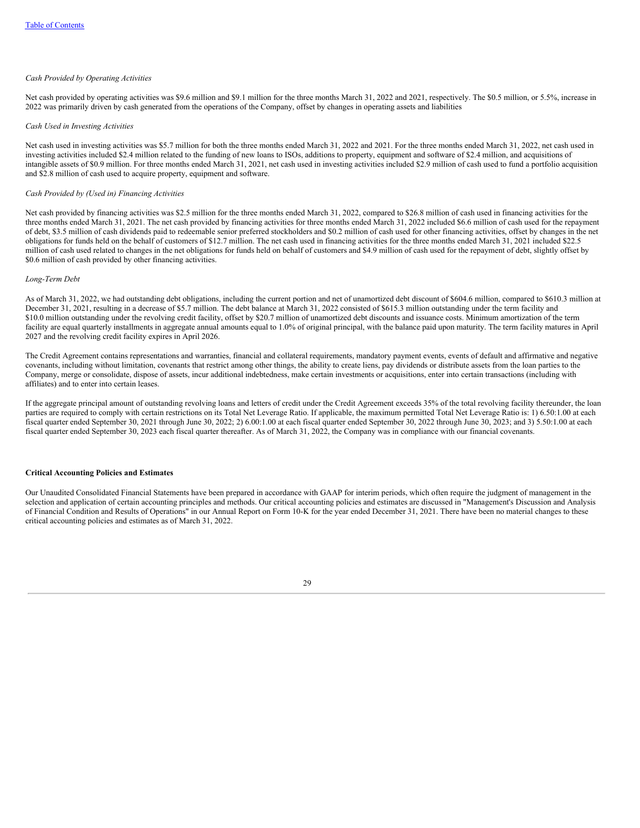#### *Cash Provided by Operating Activities*

Net cash provided by operating activities was \$9.6 million and \$9.1 million for the three months March 31, 2022 and 2021, respectively. The \$0.5 million, or 5.5%, increase in 2022 was primarily driven by cash generated from the operations of the Company, offset by changes in operating assets and liabilities

#### *Cash Used in Investing Activities*

Net cash used in investing activities was \$5.7 million for both the three months ended March 31, 2022 and 2021. For the three months ended March 31, 2022, net cash used in investing activities included \$2.4 million related to the funding of new loans to ISOs, additions to property, equipment and software of \$2.4 million, and acquisitions of intangible assets of \$0.9 million. For three months ended March 31, 2021, net cash used in investing activities included \$2.9 million of cash used to fund a portfolio acquisition and \$2.8 million of cash used to acquire property, equipment and software.

## *Cash Provided by (Used in) Financing Activities*

Net cash provided by financing activities was \$2.5 million for the three months ended March 31, 2022, compared to \$26.8 million of cash used in financing activities for the three months ended March 31, 2021. The net cash provided by financing activities for three months ended March 31, 2022 included \$6.6 million of cash used for the repayment of debt, \$3.5 million of cash dividends paid to redeemable senior preferred stockholders and \$0.2 million of cash used for other financing activities, offset by changes in the net obligations for funds held on the behalf of customers of \$12.7 million. The net cash used in financing activities for the three months ended March 31, 2021 included \$22.5 million of cash used related to changes in the net obligations for funds held on behalf of customers and \$4.9 million of cash used for the repayment of debt, slightly offset by \$0.6 million of cash provided by other financing activities.

#### *Long-Term Debt*

As of March 31, 2022, we had outstanding debt obligations, including the current portion and net of unamortized debt discount of \$604.6 million, compared to \$610.3 million at December 31, 2021, resulting in a decrease of \$5.7 million. The debt balance at March 31, 2022 consisted of \$615.3 million outstanding under the term facility and \$10.0 million outstanding under the revolving credit facility, offset by \$20.7 million of unamortized debt discounts and issuance costs. Minimum amortization of the term facility are equal quarterly installments in aggregate annual amounts equal to 1.0% of original principal, with the balance paid upon maturity. The term facility matures in April 2027 and the revolving credit facility expires in April 2026.

The Credit Agreement contains representations and warranties, financial and collateral requirements, mandatory payment events, events of default and affirmative and negative covenants, including without limitation, covenants that restrict among other things, the ability to create liens, pay dividends or distribute assets from the loan parties to the Company, merge or consolidate, dispose of assets, incur additional indebtedness, make certain investments or acquisitions, enter into certain transactions (including with affiliates) and to enter into certain leases.

If the aggregate principal amount of outstanding revolving loans and letters of credit under the Credit Agreement exceeds 35% of the total revolving facility thereunder, the loan parties are required to comply with certain restrictions on its Total Net Leverage Ratio. If applicable, the maximum permitted Total Net Leverage Ratio is: 1) 6.50:1.00 at each fiscal quarter ended September 30, 2021 through June 30, 2022; 2) 6.00:1.00 at each fiscal quarter ended September 30, 2022 through June 30, 2023; and 3) 5.50:1.00 at each fiscal quarter ended September 30, 2023 each fiscal quarter thereafter. As of March 31, 2022, the Company was in compliance with our financial covenants.

#### **Critical Accounting Policies and Estimates**

Our Unaudited Consolidated Financial Statements have been prepared in accordance with GAAP for interim periods, which often require the judgment of management in the selection and application of certain accounting principles and methods. Our critical accounting policies and estimates are discussed in "Management's Discussion and Analysis of Financial Condition and Results of Operations" in our Annual Report on Form 10-K for the year ended December 31, 2021. There have been no material changes to these critical accounting policies and estimates as of March 31, 2022.

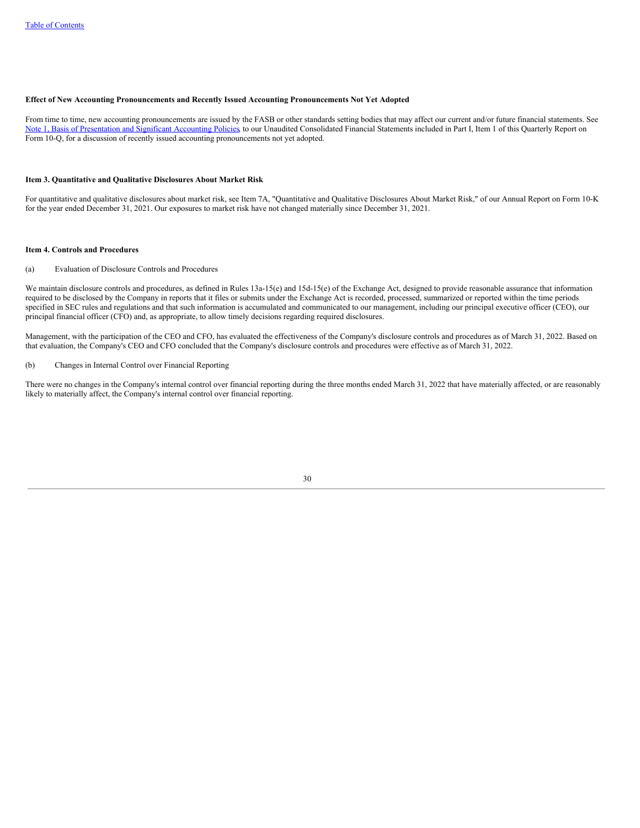### **Effect of New Accounting Pronouncements and Recently Issued Accounting Pronouncements Not Yet Adopted**

From time to time, new accounting pronouncements are issued by the FASB or other standards setting bodies that may affect our current and/or future financial statements. See Note 1, Basis of [Presentation](#page-8-1) and Significant Accounting Policies</u> to our Unaudited Consolidated Financial Statements included in Part I, Item 1 of this Quarterly Report on Form 10-Q, for a discussion of recently issued accounting pronouncements not yet adopted.

### <span id="page-32-0"></span>**Item 3. Quantitative and Qualitative Disclosures About Market Risk**

For quantitative and qualitative disclosures about market risk, see Item 7A, "Quantitative and Qualitative Disclosures About Market Risk," of our Annual Report on Form 10-K for the year ended December 31, 2021. Our exposures to market risk have not changed materially since December 31, 2021.

#### <span id="page-32-1"></span>**Item 4. Controls and Procedures**

#### (a) Evaluation of Disclosure Controls and Procedures

We maintain disclosure controls and procedures, as defined in Rules 13a-15(e) and 15d-15(e) of the Exchange Act, designed to provide reasonable assurance that information required to be disclosed by the Company in reports that it files or submits under the Exchange Act is recorded, processed, summarized or reported within the time periods specified in SEC rules and regulations and that such information is accumulated and communicated to our management, including our principal executive officer (CEO), our principal financial officer (CFO) and, as appropriate, to allow timely decisions regarding required disclosures.

Management, with the participation of the CEO and CFO, has evaluated the effectiveness of the Company's disclosure controls and procedures as of March 31, 2022. Based on that evaluation, the Company's CEO and CFO concluded that the Company's disclosure controls and procedures were effective as of March 31, 2022.

### (b) Changes in Internal Control over Financial Reporting

<span id="page-32-2"></span>There were no changes in the Company's internal control over financial reporting during the three months ended March 31, 2022 that have materially affected, or are reasonably likely to materially affect, the Company's internal control over financial reporting.

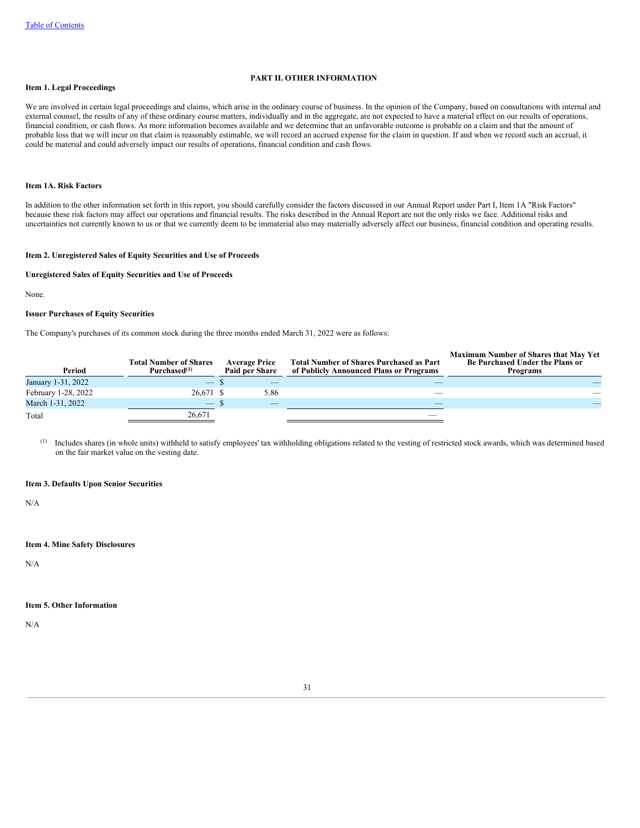### **PART II. OTHER INFORMATION**

### <span id="page-33-0"></span>**Item 1. Legal Proceedings**

We are involved in certain legal proceedings and claims, which arise in the ordinary course of business. In the opinion of the Company, based on consultations with internal and external counsel, the results of any of these ordinary course matters, individually and in the aggregate, are not expected to have a material effect on our results of operations, financial condition, or cash flows. As more information becomes available and we determine that an unfavorable outcome is probable on a claim and that the amount of probable loss that we will incur on that claim is reasonably estimable, we will record an accrued expense for the claim in question. If and when we record such an accrual, it could be material and could adversely impact our results of operations, financial condition and cash flows.

# <span id="page-33-1"></span>**Item 1A. Risk Factors**

In addition to the other information set forth in this report, you should carefully consider the factors discussed in our Annual Report under Part I, Item 1A "Risk Factors" because these risk factors may affect our operations and financial results. The risks described in the Annual Report are not the only risks we face. Additional risks and uncertainties not currently known to us or that we currently deem to be immaterial also may materially adversely affect our business, financial condition and operating results.

#### <span id="page-33-2"></span>**Item 2. Unregistered Sales of Equity Securities and Use of Proceeds**

### **Unregistered Sales of Equity Securities and Use of Proceeds**

None.

#### **Issuer Purchases of Equity Securities**

The Company's purchases of its common stock during the three months ended March 31, 2022 were as follows:

| Period              | <b>Total Number of Shares</b><br>Purchased <sup>(1)</sup> | <b>Average Price</b><br>Paid per Share | <b>Total Number of Shares Purchased as Part</b><br>of Publicly Announced Plans or Programs | <b>Maximum Number of Shares that May Yet</b><br>Be Purchased Under the Plans or<br><b>Programs</b> |
|---------------------|-----------------------------------------------------------|----------------------------------------|--------------------------------------------------------------------------------------------|----------------------------------------------------------------------------------------------------|
| January 1-31, 2022  | $\hspace{0.1mm}-\hspace{0.1mm}$                           |                                        |                                                                                            |                                                                                                    |
| February 1-28, 2022 | 26.671 \$                                                 | 5.86                                   |                                                                                            |                                                                                                    |
| March 1-31, 2022    | — ა                                                       | $-$                                    |                                                                                            |                                                                                                    |
| Total               | 26,671                                                    |                                        |                                                                                            |                                                                                                    |

Includes shares (in whole units) withheld to satisfy employees' tax withholding obligations related to the vesting of restricted stock awards, which was determined based on the fair market value on the vesting date. (1)

# <span id="page-33-3"></span>**Item 3. Defaults Upon Senior Securities**

N/A

# <span id="page-33-4"></span>**Item 4. Mine Safety Disclosures**

N/A

# <span id="page-33-5"></span>**Item 5. Other Information**

N/A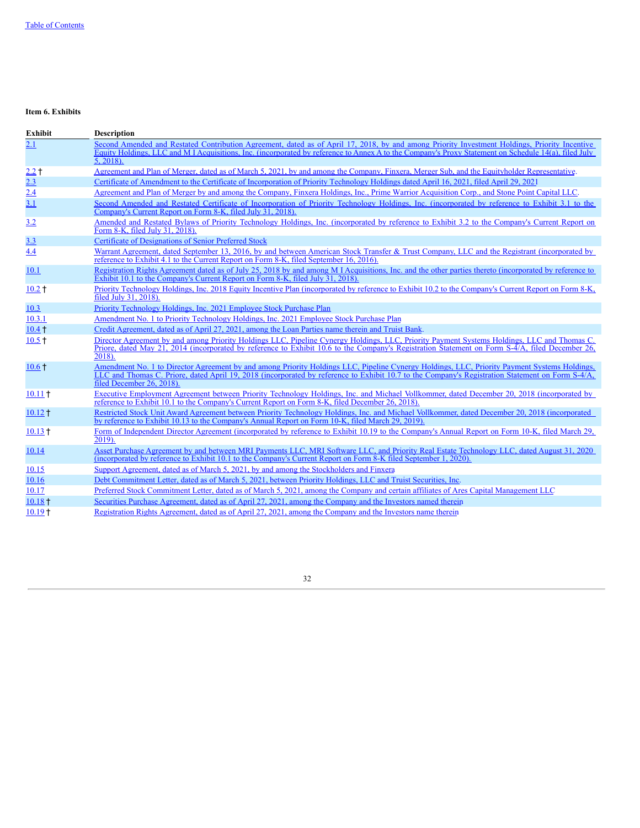# <span id="page-34-0"></span>**Item 6. Exhibits**

| <b>Exhibit</b>     | <b>Description</b>                                                                                                                                                                                                                                                                                                            |
|--------------------|-------------------------------------------------------------------------------------------------------------------------------------------------------------------------------------------------------------------------------------------------------------------------------------------------------------------------------|
| 2.1                | Second Amended and Restated Contribution Agreement, dated as of April 17, 2018, by and among Priority Investment Holdings, Priority Incentive<br>Equity Holdings, LLC and M I Acquisitions, Inc. (incorporated by reference to Annex A to the Company's Proxy Statement on Schedule 14(a), filed July<br>$5, 2018$ .          |
| $2.2 +$            | Agreement and Plan of Merger, dated as of March 5, 2021, by and among the Company, Finxera, Merger Sub, and the Equityholder Representative.                                                                                                                                                                                  |
| 2.3                | Certificate of Amendment to the Certificate of Incorporation of Priority Technology Holdings dated April 16, 2021, filed April 29, 2021                                                                                                                                                                                       |
| 2.4                | Agreement and Plan of Merger by and among the Company, Finxera Holdings, Inc., Prime Warrior Acquisition Corp., and Stone Point Capital LLC.                                                                                                                                                                                  |
| 3.1                | Second Amended and Restated Certificate of Incorporation of Priority Technology Holdings, Inc. (incorporated by reference to Exhibit 3.1 to the<br>Company's Current Report on Form 8-K, filed July 31, 2018).                                                                                                                |
| 3.2                | Amended and Restated Bylaws of Priority Technology Holdings, Inc. (incorporated by reference to Exhibit 3.2 to the Company's Current Report on<br>Form 8-K, filed July 31, 2018).                                                                                                                                             |
| <u>3.3</u>         | Certificate of Designations of Senior Preferred Stock                                                                                                                                                                                                                                                                         |
| 4.4                | Warrant Agreement, dated September 13, 2016, by and between American Stock Transfer & Trust Company, LLC and the Registrant (incorporated by<br>reference to Exhibit 4.1 to the Current Report on Form 8-K, filed September 16, 2016).                                                                                        |
| 10.1               | Registration Rights Agreement dated as of July 25, 2018 by and among M I Acquisitions, Inc. and the other parties thereto (incorporated by reference to<br>Exhibit 10.1 to the Company's Current Report on Form 8-K, filed July 31, 2018).                                                                                    |
| $10.2 +$           | Priority Technology Holdings, Inc. 2018 Equity Incentive Plan (incorporated by reference to Exhibit 10.2 to the Company's Current Report on Form 8-K,<br>filed July 31, 2018).                                                                                                                                                |
| 10.3               | Priority Technology Holdings, Inc. 2021 Employee Stock Purchase Plan                                                                                                                                                                                                                                                          |
| 10.3.1             | Amendment No. 1 to Priority Technology Holdings, Inc. 2021 Employee Stock Purchase Plan                                                                                                                                                                                                                                       |
| $10.4 +$           | Credit Agreement, dated as of April 27, 2021, among the Loan Parties name therein and Truist Bank.                                                                                                                                                                                                                            |
| $10.5 +$           | Director Agreement by and among Priority Holdings LLC, Pipeline Cynergy Holdings, LLC, Priority Payment Systems Holdings, LLC and Thomas C.<br>Priore, dated May 21, 2014 (incorporated by reference to Exhibit 10.6 to the Company's Registration Statement on Form S-4/A, filed December 26,<br>2018).                      |
| $10.6 +$           | Amendment No. 1 to Director Agreement by and among Priority Holdings LLC, Pipeline Cynergy Holdings, LLC, Priority Payment Systems Holdings,<br>LLC and Thomas C. Priore, dated April 19, 2018 (incorporated by reference to Exhibit 10.7 to the Company's Registration Statement on Form S-4/A.<br>filed December 26, 2018). |
| $10.11 +$          | Executive Employment Agreement between Priority Technology Holdings, Inc. and Michael Vollkommer, dated December 20, 2018 (incorporated by<br>reference to Exhibit 10.1 to the Company's Current Report on Form 8-K, filed December 26, 2018).                                                                                |
| $10.12 +$          | Restricted Stock Unit Award Agreement between Priority Technology Holdings, Inc. and Michael Vollkommer, dated December 20, 2018 (incorporated<br>by reference to Exhibit 10.13 to the Company's Annual Report on Form 10-K, filed March 29, 2019).                                                                           |
| $10.13 +$          | Form of Independent Director Agreement (incorporated by reference to Exhibit 10.19 to the Company's Annual Report on Form 10-K, filed March 29,<br>2019).                                                                                                                                                                     |
| <u>10.14</u>       | Asset Purchase Agreement by and between MRI Payments LLC, MRI Software LLC, and Priority Real Estate Technology LLC, dated August 31, 2020<br>(incorporated by reference to Exhibit 10.1 to the Company's Current Report on Form 8-K filed September 1, 2020).                                                                |
| 10.15              | Support Agreement, dated as of March 5, 2021, by and among the Stockholders and Finxera                                                                                                                                                                                                                                       |
| 10.16              | Debt Commitment Letter, dated as of March 5, 2021, between Priority Holdings, LLC and Truist Securities, Inc.                                                                                                                                                                                                                 |
| 10.17              | Preferred Stock Commitment Letter, dated as of March 5, 2021, among the Company and certain affiliates of Ares Capital Management LLC                                                                                                                                                                                         |
| $10.18 +$          | Securities Purchase Agreement, dated as of April 27, 2021, among the Company and the Investors named therein                                                                                                                                                                                                                  |
| 10.19 <sup>†</sup> | Registration Rights Agreement, dated as of April 27, 2021, among the Company and the Investors name therein                                                                                                                                                                                                                   |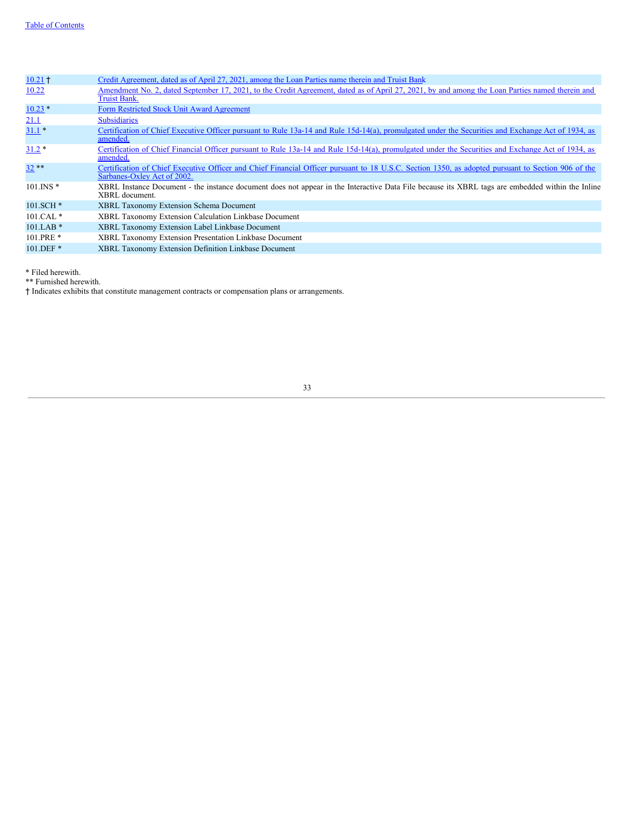| $10.21 +$       | Credit Agreement, dated as of April 27, 2021, among the Loan Parties name therein and Truist Bank                                                                                 |
|-----------------|-----------------------------------------------------------------------------------------------------------------------------------------------------------------------------------|
| 10.22           | Amendment No. 2, dated September 17, 2021, to the Credit Agreement, dated as of April 27, 2021, by and among the Loan Parties named therein and<br>Truist Bank.                   |
| $10.23*$        | Form Restricted Stock Unit Award Agreement                                                                                                                                        |
| 21.1            | <b>Subsidiaries</b>                                                                                                                                                               |
| $31.1*$         | Certification of Chief Executive Officer pursuant to Rule 13a-14 and Rule 15d-14(a), promulgated under the Securities and Exchange Act of 1934, as<br>amended.                    |
| $31.2*$         | Certification of Chief Financial Officer pursuant to Rule 13a-14 and Rule 15d-14(a), promulgated under the Securities and Exchange Act of 1934, as<br>amended.                    |
| $32**$          | Certification of Chief Executive Officer and Chief Financial Officer pursuant to 18 U.S.C. Section 1350, as adopted pursuant to Section 906 of the<br>Sarbanes-Oxley Act of 2002. |
| $101$ . INS $*$ | XBRL Instance Document - the instance document does not appear in the Interactive Data File because its XBRL tags are embedded within the Inline<br>XBRL document.                |
| $101.SCH*$      | <b>XBRL Taxonomy Extension Schema Document</b>                                                                                                                                    |
| $101.CAL*$      | XBRL Taxonomy Extension Calculation Linkbase Document                                                                                                                             |
| $101.LAB*$      | XBRL Taxonomy Extension Label Linkbase Document                                                                                                                                   |
| $101.PRE*$      | XBRL Taxonomy Extension Presentation Linkbase Document                                                                                                                            |
| 101.DEF*        | XBRL Taxonomy Extension Definition Linkbase Document                                                                                                                              |

\* Filed herewith.

\*\* Furnished herewith.

<span id="page-35-0"></span>† Indicates exhibits that constitute management contracts or compensation plans or arrangements.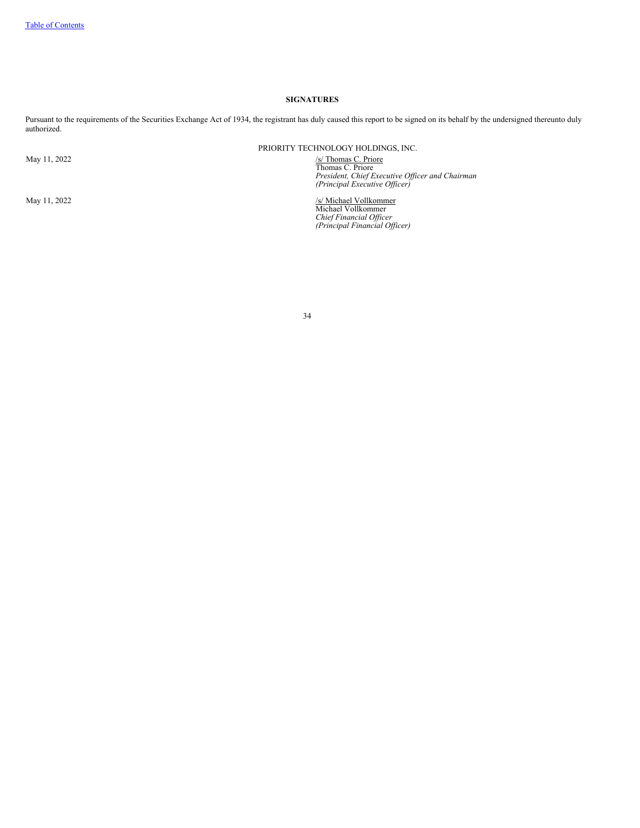# **SIGNATURES**

Pursuant to the requirements of the Securities Exchange Act of 1934, the registrant has duly caused this report to be signed on its behalf by the undersigned thereunto duly authorized.

PRIORITY TECHNOLOGY HOLDINGS, INC.

May 11, 2022<br> **Property CONFIGUTE:**<br> *President, Chief Executive Officer and Chairman*<br> *(Principal Executive Officer)* 

May 11, 2022<br>*S/ Michael Vollkommer*<br>*Chief Financial Officer*<br>*Chief Financial Officer*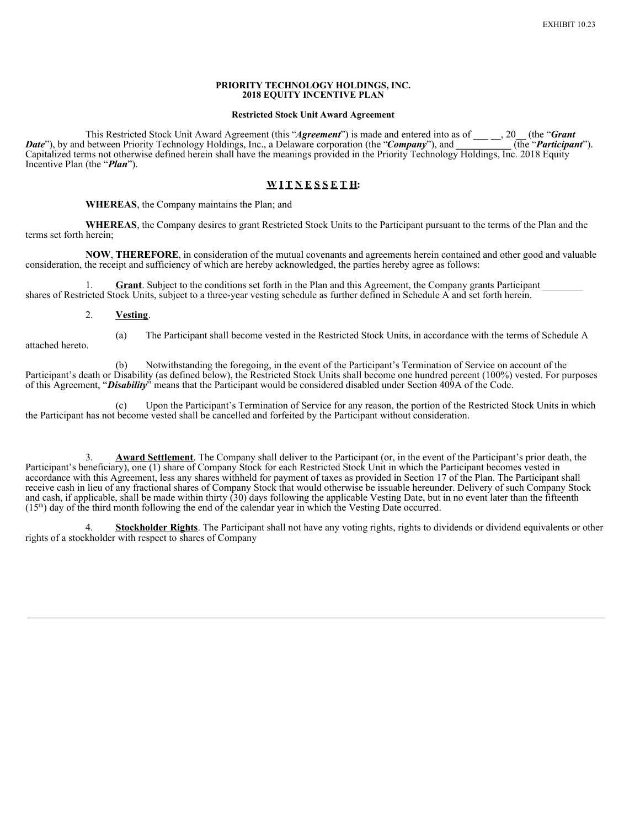# **PRIORITY TECHNOLOGY HOLDINGS, INC. 2018 EQUITY INCENTIVE PLAN**

# **Restricted Stock Unit Award Agreement**

This Restricted Stock Unit Award Agreement (this "*Agreement*") is made and entered into as of \_\_\_\_, 20<sub>\_\_</sub> (the "*Grant*"). between Priority Technology Holdings, Inc., a Delaware corporation (the "*Company*"), and (the " *Date*"), by and between Priority Technology Holdings, Inc., a Delaware corporation (the "*Company*"), and **\_\_\_\_\_** Capitalized terms not otherwise defined herein shall have the meanings provided in the Priority Technology Holdings, Inc. 2018 Equity Incentive Plan (the "*Plan*").

# **W I T N E S S E T H:**

# **WHEREAS**, the Company maintains the Plan; and

**WHEREAS**, the Company desires to grant Restricted Stock Units to the Participant pursuant to the terms of the Plan and the terms set forth herein;

**NOW**, **THEREFORE**, in consideration of the mutual covenants and agreements herein contained and other good and valuable consideration, the receipt and sufficiency of which are hereby acknowledged, the parties hereby agree as follows:

**Grant**. Subject to the conditions set forth in the Plan and this Agreement, the Company grants Participant \_ shares of Restricted Stock Units, subject to a three-year vesting schedule as further defined in Schedule A and set forth herein.

# 2. **Vesting**.

(a) The Participant shall become vested in the Restricted Stock Units, in accordance with the terms of Schedule A

(b) Notwithstanding the foregoing, in the event of the Participant's Termination of Service on account of the Participant's death or Disability (as defined below), the Restricted Stock Units shall become one hundred percent (100%) vested. For purposes of this Agreement, "*Disability*" means that the Participant would be considered disabled under Section 409A of the Code.

(c) Upon the Participant's Termination of Service for any reason, the portion of the Restricted Stock Units in which the Participant has not become vested shall be cancelled and forfeited by the Participant without consideration.

3. **Award Settlement**. The Company shall deliver to the Participant (or, in the event of the Participant's prior death, the Participant's beneficiary), one (1) share of Company Stock for each Restricted Stock Unit in which the Participant becomes vested in accordance with this Agreement, less any shares withheld for payment of taxes as provided in Section 17 of the Plan. The Participant shall receive cash in lieu of any fractional shares of Company Stock that would otherwise be issuable hereunder. Delivery of such Company Stock and cash, if applicable, shall be made within thirty (30) days following the applicable Vesting Date, but in no event later than the fifteenth  $(15<sup>th</sup>)$  day of the third month following the end of the calendar year in which the Vesting Date occurred.

**Stockholder Rights**. The Participant shall not have any voting rights, rights to dividends or dividend equivalents or other rights of a stockholder with respect to shares of Company

attached hereto.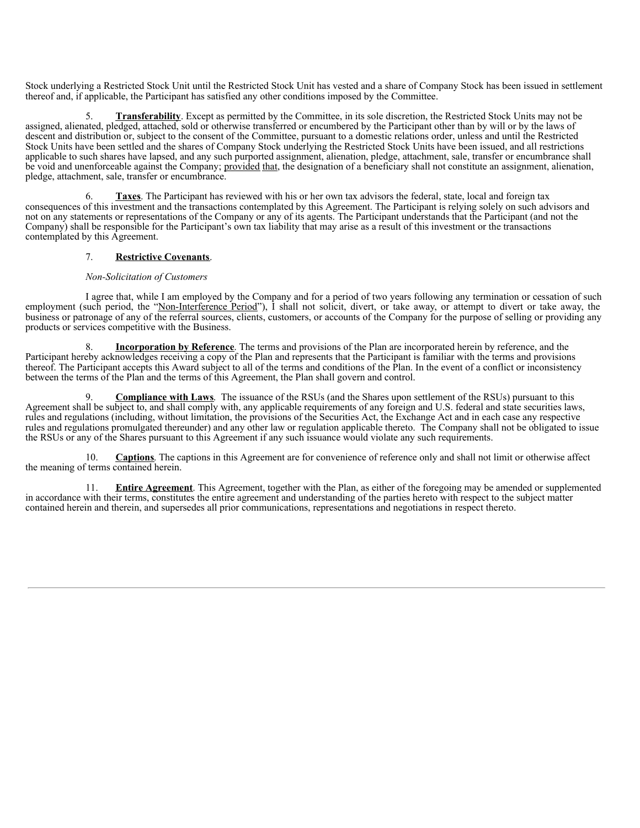Stock underlying a Restricted Stock Unit until the Restricted Stock Unit has vested and a share of Company Stock has been issued in settlement thereof and, if applicable, the Participant has satisfied any other conditions imposed by the Committee.

5. **Transferability**. Except as permitted by the Committee, in its sole discretion, the Restricted Stock Units may not be assigned, alienated, pledged, attached, sold or otherwise transferred or encumbered by the Participant other than by will or by the laws of descent and distribution or, subject to the consent of the Committee, pursuant to a domestic relations order, unless and until the Restricted Stock Units have been settled and the shares of Company Stock underlying the Restricted Stock Units have been issued, and all restrictions applicable to such shares have lapsed, and any such purported assignment, alienation, pledge, attachment, sale, transfer or encumbrance shall be void and unenforceable against the Company; provided that, the designation of a beneficiary shall not constitute an assignment, alienation, pledge, attachment, sale, transfer or encumbrance.

6. **Taxes**. The Participant has reviewed with his or her own tax advisors the federal, state, local and foreign tax consequences of this investment and the transactions contemplated by this Agreement. The Participant is relying solely on such advisors and not on any statements or representations of the Company or any of its agents. The Participant understands that the Participant (and not the Company) shall be responsible for the Participant's own tax liability that may arise as a result of this investment or the transactions contemplated by this Agreement.

# 7. **Restrictive Covenants**.

# *Non-Solicitation of Customers*

I agree that, while I am employed by the Company and for a period of two years following any termination or cessation of such employment (such period, the "Non-Interference Period"), I shall not solicit, divert, or take away, or attempt to divert or take away, the business or patronage of any of the referral sources, clients, customers, or accounts of the Company for the purpose of selling or providing any products or services competitive with the Business.

**Incorporation** by Reference. The terms and provisions of the Plan are incorporated herein by reference, and the Participant hereby acknowledges receiving a copy of the Plan and represents that the Participant is familiar with the terms and provisions thereof. The Participant accepts this Award subject to all of the terms and conditions of the Plan. In the event of a conflict or inconsistency between the terms of the Plan and the terms of this Agreement, the Plan shall govern and control.

9. **Compliance with Laws**. The issuance of the RSUs (and the Shares upon settlement of the RSUs) pursuant to this Agreement shall be subject to, and shall comply with, any applicable requirements of any foreign and U.S. federal and state securities laws, rules and regulations (including, without limitation, the provisions of the Securities Act, the Exchange Act and in each case any respective rules and regulations promulgated thereunder) and any other law or regulation applicable thereto. The Company shall not be obligated to issue the RSUs or any of the Shares pursuant to this Agreement if any such issuance would violate any such requirements.

10. **Captions**. The captions in this Agreement are for convenience of reference only and shall not limit or otherwise affect the meaning of terms contained herein.

11. **Entire Agreement**. This Agreement, together with the Plan, as either of the foregoing may be amended or supplemented in accordance with their terms, constitutes the entire agreement and understanding of the parties hereto with respect to the subject matter contained herein and therein, and supersedes all prior communications, representations and negotiations in respect thereto.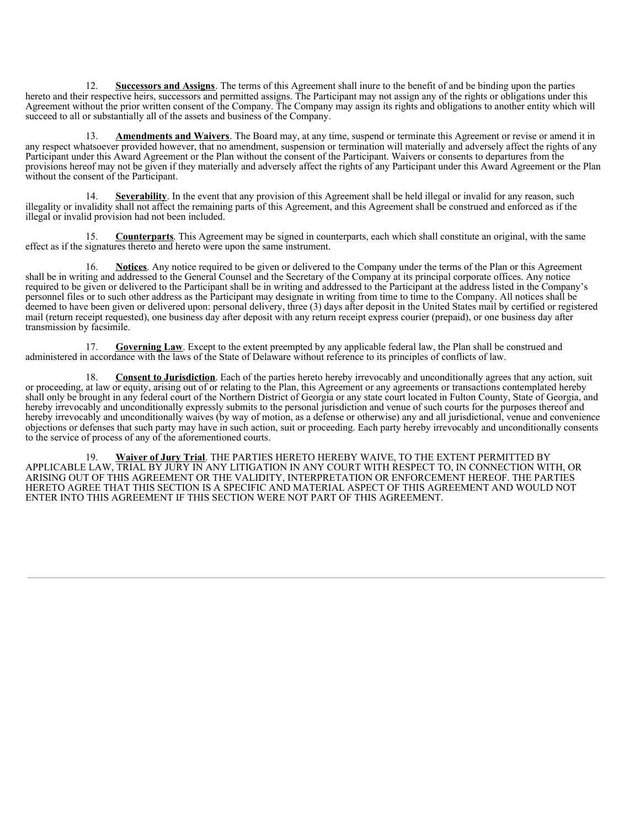<span id="page-39-0"></span>12. **Successors and Assigns**. The terms of this Agreement shall inure to the benefit of and be binding upon the parties hereto and their respective heirs, successors and permitted assigns. The Participant may not assign any of the rights or obligations under this Agreement without the prior written consent of the Company. The Company may assign its rights and obligations to another entity which will succeed to all or substantially all of the assets and business of the Company.

13. **Amendments and Waivers**. The Board may, at any time, suspend or terminate this Agreement or revise or amend it in any respect whatsoever provided however, that no amendment, suspension or termination will materially and adversely affect the rights of any Participant under this Award Agreement or the Plan without the consent of the Participant. Waivers or consents to departures from the provisions hereof may not be given if they materially and adversely affect the rights of any Participant under this Award Agreement or the Plan without the consent of the Participant.

**Severability**. In the event that any provision of this Agreement shall be held illegal or invalid for any reason, such illegality or invalidity shall not affect the remaining parts of this Agreement, and this Agreement shall be construed and enforced as if the illegal or invalid provision had not been included.

15. **Counterparts**. This Agreement may be signed in counterparts, each which shall constitute an original, with the same effect as if the signatures thereto and hereto were upon the same instrument.

16. **Notices**. Any notice required to be given or delivered to the Company under the terms of the Plan or this Agreement shall be in writing and addressed to the General Counsel and the Secretary of the Company at its principal corporate offices. Any notice required to be given or delivered to the Participant shall be in writing and addressed to the Participant at the address listed in the Company's personnel files or to such other address as the Participant may designate in writing from time to time to the Company. All notices shall be deemed to have been given or delivered upon: personal delivery, three (3) days after deposit in the United States mail by certified or registered mail (return receipt requested), one business day after deposit with any return receipt express courier (prepaid), or one business day after transmission by facsimile.

17. **Governing Law**. Except to the extent preempted by any applicable federal law, the Plan shall be construed and administered in accordance with the laws of the State of Delaware without reference to its principles of conflicts of law.

18. **Consent to Jurisdiction**. Each of the parties hereto hereby irrevocably and unconditionally agrees that any action, suit or proceeding, at law or equity, arising out of or relating to the Plan, this Agreement or any agreements or transactions contemplated hereby shall only be brought in any federal court of the Northern District of Georgia or any state court located in Fulton County, State of Georgia, and hereby irrevocably and unconditionally expressly submits to the personal jurisdiction and venue of such courts for the purposes thereof and hereby irrevocably and unconditionally waives (by way of motion, as a defense or otherwise) any and all jurisdictional, venue and convenience objections or defenses that such party may have in such action, suit or proceeding. Each party hereby irrevocably and unconditionally consents to the service of process of any of the aforementioned courts.

19. **Waiver of Jury Trial**. THE PARTIES HERETO HEREBY WAIVE, TO THE EXTENT PERMITTED BY APPLICABLE LAW, TRIAL BY JURY IN ANY LITIGATION IN ANY COURT WITH RESPECT TO, IN CONNECTION WITH, OR ARISING OUT OF THIS AGREEMENT OR THE VALIDITY, INTERPRETATION OR ENFORCEMENT HEREOF. THE PARTIES HERETO AGREE THAT THIS SECTION IS A SPECIFIC AND MATERIAL ASPECT OF THIS AGREEMENT AND WOULD NOT ENTER INTO THIS AGREEMENT IF THIS SECTION WERE NOT PART OF THIS AGREEMENT.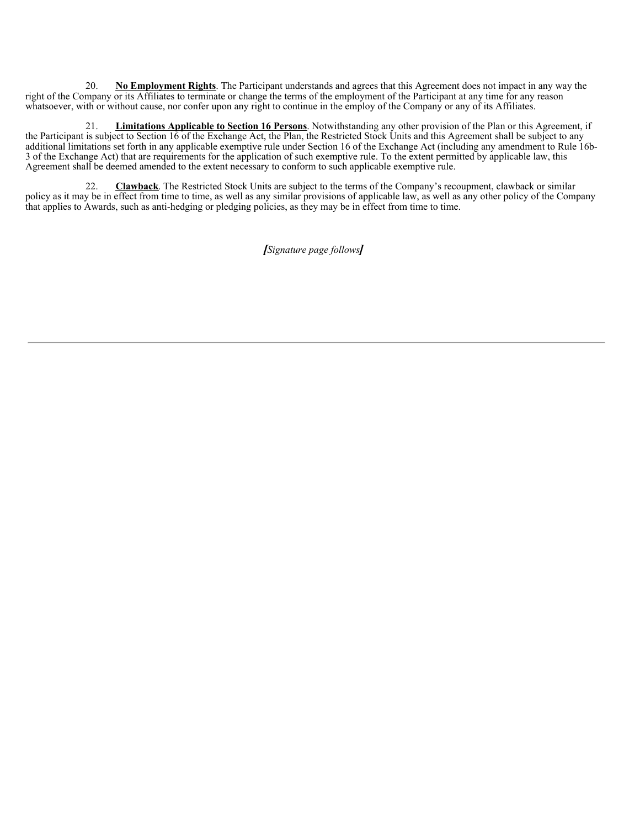20. **No Employment Rights**. The Participant understands and agrees that this Agreement does not impact in any way the right of the Company or its Affiliates to terminate or change the terms of the employment of the Participant at any time for any reason whatsoever, with or without cause, nor confer upon any right to continue in the employ of the Company or any of its Affiliates.

21. **Limitations Applicable to Section 16 Persons**. Notwithstanding any other provision of the Plan or this Agreement, if the Participant is subject to Section 16 of the Exchange Act, the Plan, the Restricted Stock Units and this Agreement shall be subject to any additional limitations set forth in any applicable exemptive rule under Section 16 of the Exchange Act (including any amendment to Rule 16b-3 of the Exchange Act) that are requirements for the application of such exemptive rule. To the extent permitted by applicable law, this Agreement shall be deemed amended to the extent necessary to conform to such applicable exemptive rule.

22. **Clawback**. The Restricted Stock Units are subject to the terms of the Company's recoupment, clawback or similar policy as it may be in effect from time to time, as well as any similar provisions of applicable law, as well as any other policy of the Company that applies to Awards, such as anti-hedging or pledging policies, as they may be in effect from time to time.

*[Signature page follows]*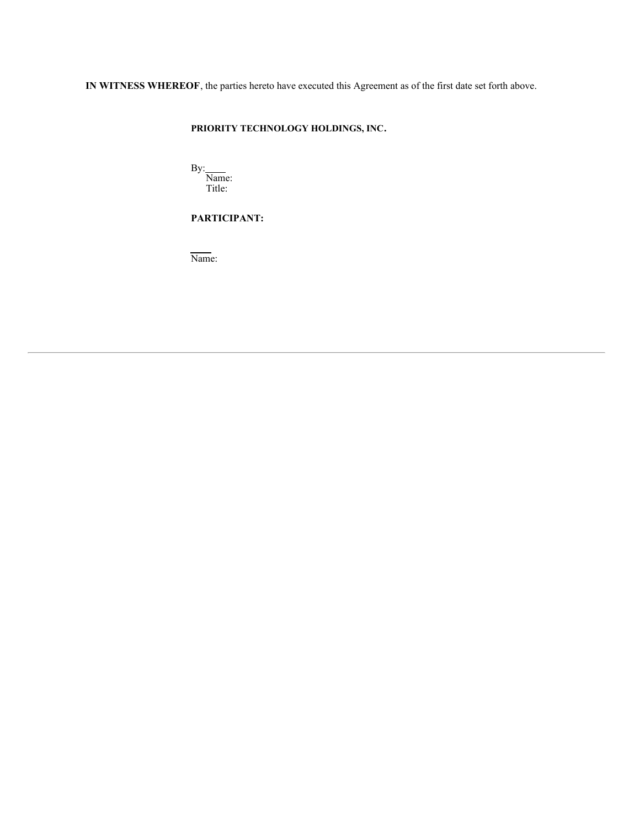**IN WITNESS WHEREOF**, the parties hereto have executed this Agreement as of the first date set forth above.

# **PRIORITY TECHNOLOGY HOLDINGS, INC.**

By: Name: Title:

**PARTICIPANT:**

Name: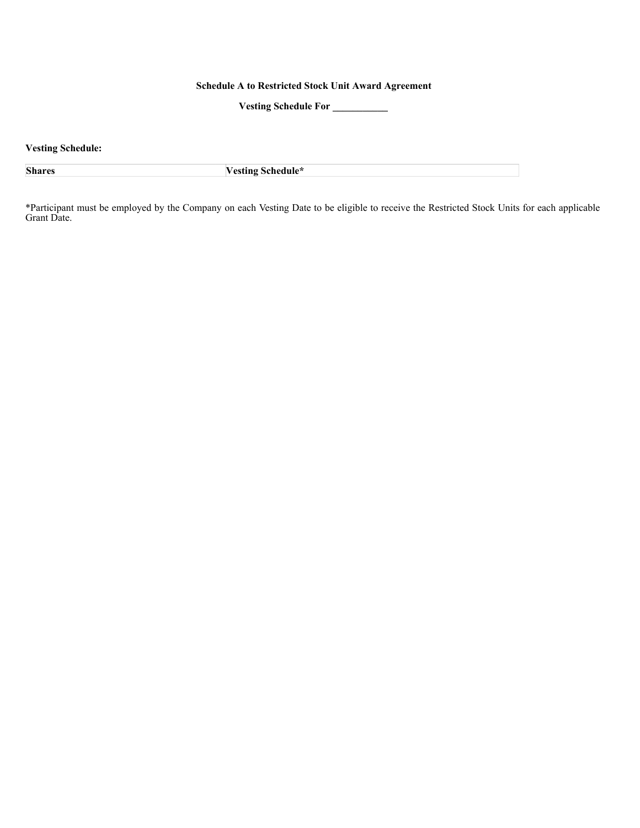# **Schedule A to Restricted Stock Unit Award Agreement**

**Vesting Schedule For \_\_\_\_\_\_\_\_\_\_\_**

**Vesting Schedule:**

**Shares Vesting Schedule\***

\*Participant must be employed by the Company on each Vesting Date to be eligible to receive the Restricted Stock Units for each applicable Grant Date.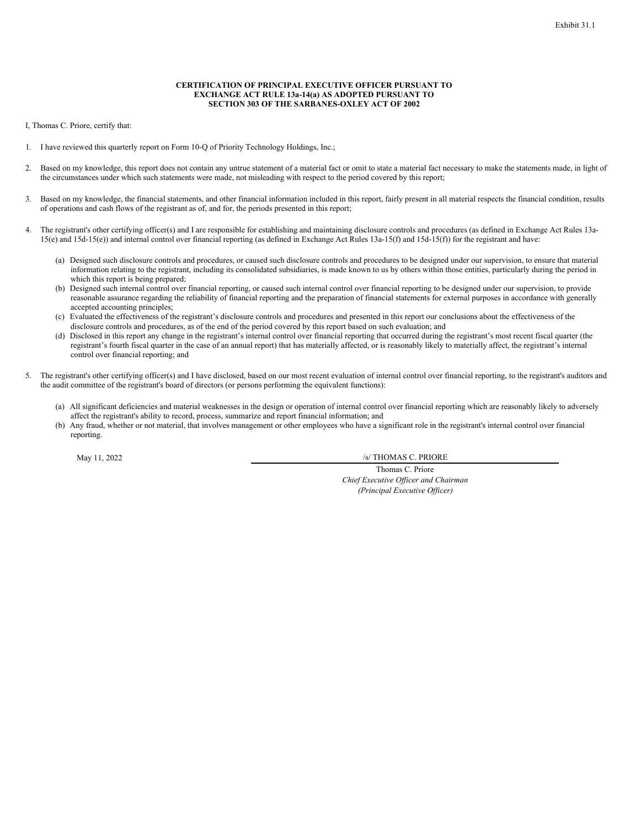### **CERTIFICATION OF PRINCIPAL EXECUTIVE OFFICER PURSUANT TO EXCHANGE ACT RULE 13a-14(a) AS ADOPTED PURSUANT TO SECTION 303 OF THE SARBANES-OXLEY ACT OF 2002**

<span id="page-43-0"></span>I, Thomas C. Priore, certify that:

- 1. I have reviewed this quarterly report on Form 10-Q of Priority Technology Holdings, Inc.;
- Based on my knowledge, this report does not contain any untrue statement of a material fact or omit to state a material fact necessary to make the statements made, in light of the circumstances under which such statements were made, not misleading with respect to the period covered by this report;
- 3. Based on my knowledge, the financial statements, and other financial information included in this report, fairly present in all material respects the financial condition, results of operations and cash flows of the registrant as of, and for, the periods presented in this report;
- 4. The registrant's other certifying officer(s) and I are responsible for establishing and maintaining disclosure controls and procedures (as defined in Exchange Act Rules 13a-15(e) and 15d-15(e)) and internal control over financial reporting (as defined in Exchange Act Rules 13a-15(f) and 15d-15(f)) for the registrant and have:
	- (a) Designed such disclosure controls and procedures, or caused such disclosure controls and procedures to be designed under our supervision, to ensure that material information relating to the registrant, including its consolidated subsidiaries, is made known to us by others within those entities, particularly during the period in which this report is being prepared;
	- (b) Designed such internal control over financial reporting, or caused such internal control over financial reporting to be designed under our supervision, to provide reasonable assurance regarding the reliability of financial reporting and the preparation of financial statements for external purposes in accordance with generally accepted accounting principles;
	- (c) Evaluated the effectiveness of the registrant's disclosure controls and procedures and presented in this report our conclusions about the effectiveness of the disclosure controls and procedures, as of the end of the period covered by this report based on such evaluation; and
	- (d) Disclosed in this report any change in the registrant's internal control over financial reporting that occurred during the registrant's most recent fiscal quarter (the registrant's fourth fiscal quarter in the case of an annual report) that has materially affected, or is reasonably likely to materially affect, the registrant's internal control over financial reporting; and
- 5. The registrant's other certifying officer(s) and I have disclosed, based on our most recent evaluation of internal control over financial reporting, to the registrant's auditors and the audit committee of the registrant's board of directors (or persons performing the equivalent functions):
	- (a) All significant deficiencies and material weaknesses in the design or operation of internal control over financial reporting which are reasonably likely to adversely affect the registrant's ability to record, process, summarize and report financial information; and
	- (b) Any fraud, whether or not material, that involves management or other employees who have a significant role in the registrant's internal control over financial reporting.

May 11, 2022 /s/ THOMAS C. PRIORE

Thomas C. Priore *Chief Executive Of icer and Chairman (Principal Executive Of icer)*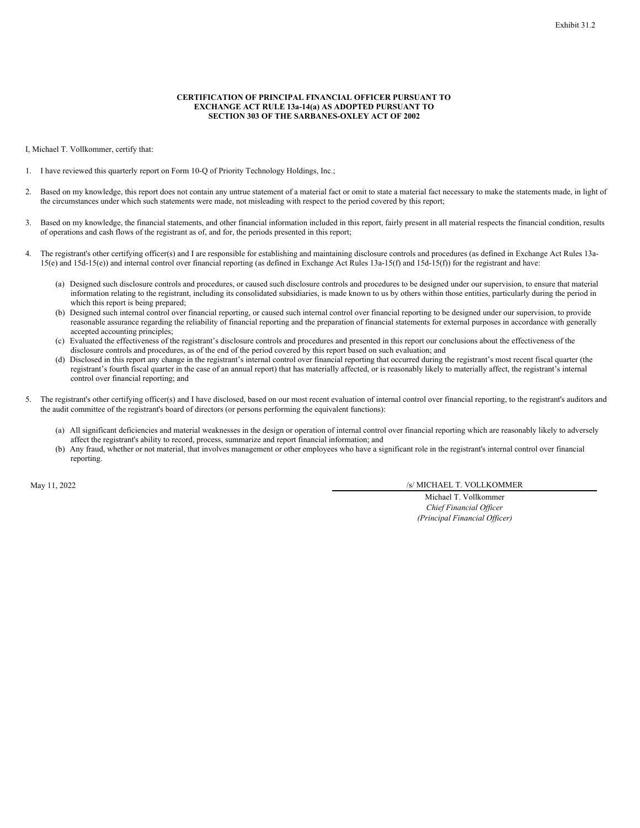## **CERTIFICATION OF PRINCIPAL FINANCIAL OFFICER PURSUANT TO EXCHANGE ACT RULE 13a-14(a) AS ADOPTED PURSUANT TO SECTION 303 OF THE SARBANES-OXLEY ACT OF 2002**

<span id="page-44-0"></span>I, Michael T. Vollkommer, certify that:

- 1. I have reviewed this quarterly report on Form 10-Q of Priority Technology Holdings, Inc.;
- 2. Based on my knowledge, this report does not contain any untrue statement of a material fact or omit to state a material fact necessary to make the statements made, in light of the circumstances under which such statements were made, not misleading with respect to the period covered by this report;
- 3. Based on my knowledge, the financial statements, and other financial information included in this report, fairly present in all material respects the financial condition, results of operations and cash flows of the registrant as of, and for, the periods presented in this report;
- The registrant's other certifying officer(s) and I are responsible for establishing and maintaining disclosure controls and procedures (as defined in Exchange Act Rules 13a-15(e) and 15d-15(e)) and internal control over financial reporting (as defined in Exchange Act Rules 13a-15(f) and 15d-15(f)) for the registrant and have:
	- (a) Designed such disclosure controls and procedures, or caused such disclosure controls and procedures to be designed under our supervision, to ensure that material information relating to the registrant, including its consolidated subsidiaries, is made known to us by others within those entities, particularly during the period in which this report is being prepared;
	- (b) Designed such internal control over financial reporting, or caused such internal control over financial reporting to be designed under our supervision, to provide reasonable assurance regarding the reliability of financial reporting and the preparation of financial statements for external purposes in accordance with generally accepted accounting principles;
	- (c) Evaluated the effectiveness of the registrant's disclosure controls and procedures and presented in this report our conclusions about the effectiveness of the disclosure controls and procedures, as of the end of the period covered by this report based on such evaluation; and
	- (d) Disclosed in this report any change in the registrant's internal control over financial reporting that occurred during the registrant's most recent fiscal quarter (the registrant's fourth fiscal quarter in the case of an annual report) that has materially affected, or is reasonably likely to materially affect, the registrant's internal control over financial reporting; and
- 5. The registrant's other certifying officer(s) and I have disclosed, based on our most recent evaluation of internal control over financial reporting, to the registrant's auditors and the audit committee of the registrant's board of directors (or persons performing the equivalent functions):
	- (a) All significant deficiencies and material weaknesses in the design or operation of internal control over financial reporting which are reasonably likely to adversely affect the registrant's ability to record, process, summarize and report financial information; and
	- (b) Any fraud, whether or not material, that involves management or other employees who have a significant role in the registrant's internal control over financial reporting.

May 11, 2022 /s/ MICHAEL T. VOLLKOMMER

Michael T. Vollkommer *Chief Financial Of icer (Principal Financial Of icer)*